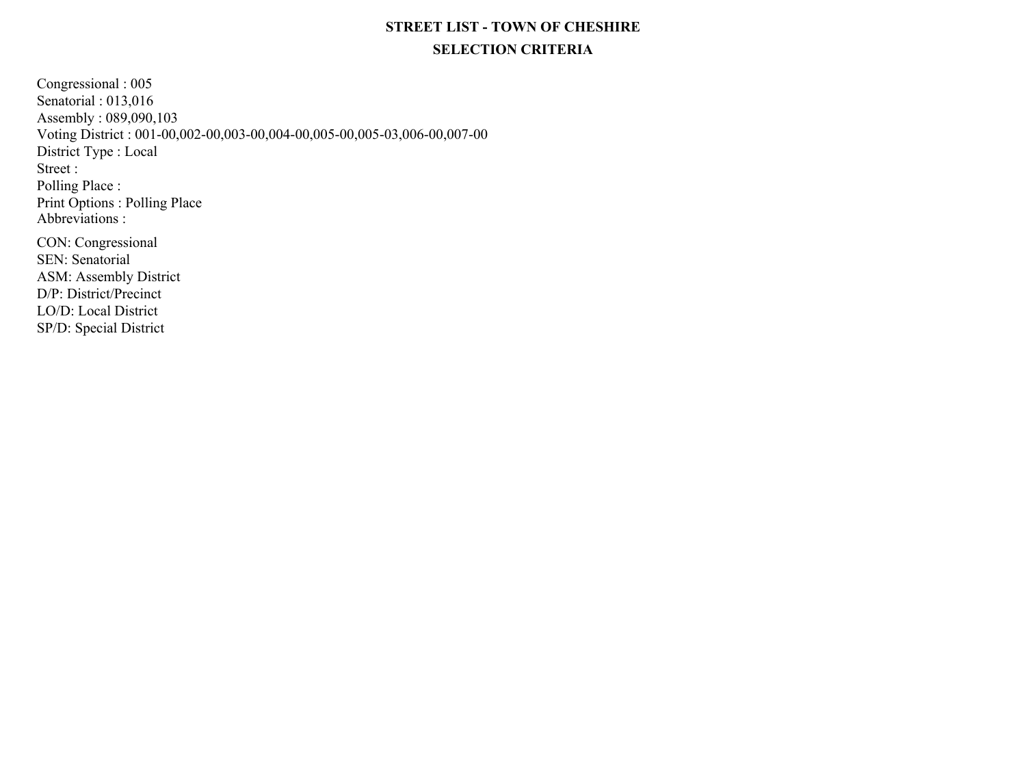## **STREET LIST - TOWN OF CHESHIRESELECTION CRITERIA**

Congressional : 005 Senatorial : 013,016 Assembly : 089,090,103 Voting District : 001-00,002-00,003-00,004-00,005-00,005-03,006-00,007-00District Type : LocalPrint Options : Polling Place Street : Polling Place :Abbreviations : D/P: District/Precinct LO/D: Local DistrictCON: CongressionalSEN: SenatorialASM: Assembly District

SP/D: Special District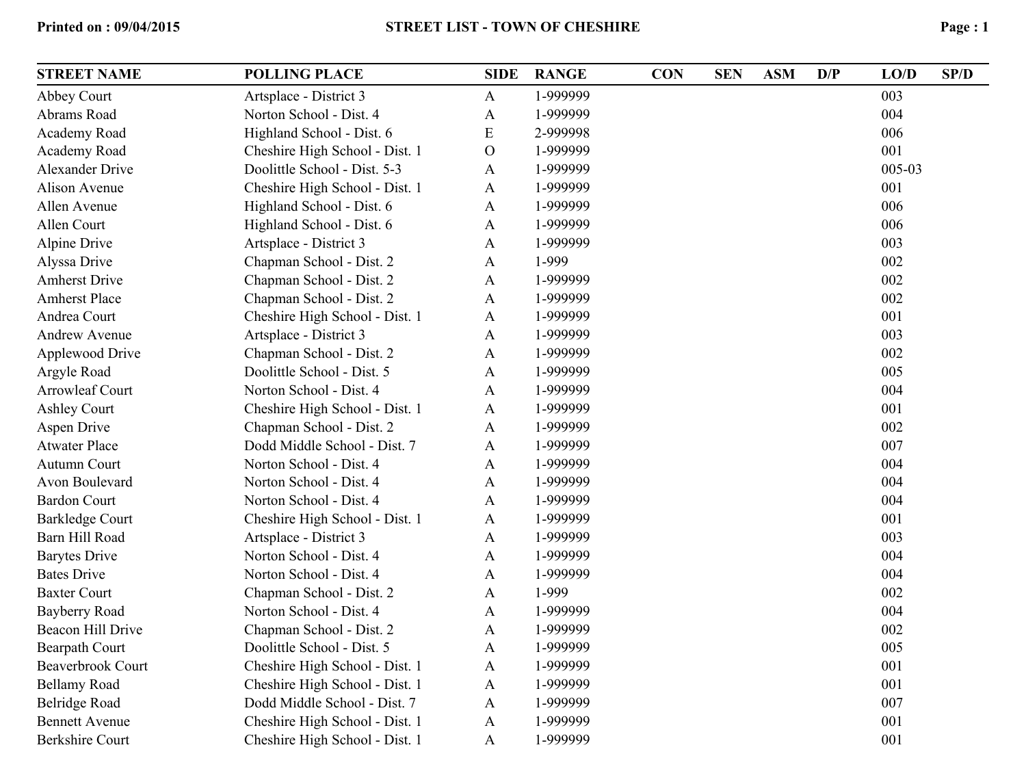| E | Page: 1 |
|---|---------|
|   |         |

| <b>STREET NAME</b>       | <b>POLLING PLACE</b>           | <b>SIDE</b>  | <b>RANGE</b> | <b>CON</b> | <b>SEN</b> | <b>ASM</b> | D/P | LO/D   | SP/D |
|--------------------------|--------------------------------|--------------|--------------|------------|------------|------------|-----|--------|------|
| Abbey Court              | Artsplace - District 3         | A            | 1-999999     |            |            |            |     | 003    |      |
| Abrams Road              | Norton School - Dist. 4        | A            | 1-999999     |            |            |            |     | 004    |      |
| Academy Road             | Highland School - Dist. 6      | E            | 2-999998     |            |            |            |     | 006    |      |
| Academy Road             | Cheshire High School - Dist. 1 | $\mathbf{O}$ | 1-999999     |            |            |            |     | 001    |      |
| <b>Alexander Drive</b>   | Doolittle School - Dist. 5-3   | A            | 1-999999     |            |            |            |     | 005-03 |      |
| Alison Avenue            | Cheshire High School - Dist. 1 | A            | 1-999999     |            |            |            |     | 001    |      |
| Allen Avenue             | Highland School - Dist. 6      | A            | 1-999999     |            |            |            |     | 006    |      |
| Allen Court              | Highland School - Dist. 6      | A            | 1-999999     |            |            |            |     | 006    |      |
| Alpine Drive             | Artsplace - District 3         | A            | 1-999999     |            |            |            |     | 003    |      |
| Alyssa Drive             | Chapman School - Dist. 2       | A            | 1-999        |            |            |            |     | 002    |      |
| <b>Amherst Drive</b>     | Chapman School - Dist. 2       | A            | 1-999999     |            |            |            |     | 002    |      |
| <b>Amherst Place</b>     | Chapman School - Dist. 2       | A            | 1-999999     |            |            |            |     | 002    |      |
| Andrea Court             | Cheshire High School - Dist. 1 | A            | 1-999999     |            |            |            |     | 001    |      |
| <b>Andrew Avenue</b>     | Artsplace - District 3         | A            | 1-999999     |            |            |            |     | 003    |      |
| Applewood Drive          | Chapman School - Dist. 2       | A            | 1-999999     |            |            |            |     | 002    |      |
| Argyle Road              | Doolittle School - Dist. 5     | A            | 1-999999     |            |            |            |     | 005    |      |
| Arrowleaf Court          | Norton School - Dist. 4        | A            | 1-999999     |            |            |            |     | 004    |      |
| <b>Ashley Court</b>      | Cheshire High School - Dist. 1 | A            | 1-999999     |            |            |            |     | 001    |      |
| Aspen Drive              | Chapman School - Dist. 2       | A            | 1-999999     |            |            |            |     | 002    |      |
| <b>Atwater Place</b>     | Dodd Middle School - Dist. 7   | A            | 1-999999     |            |            |            |     | 007    |      |
| Autumn Court             | Norton School - Dist. 4        | A            | 1-999999     |            |            |            |     | 004    |      |
| Avon Boulevard           | Norton School - Dist. 4        | A            | 1-999999     |            |            |            |     | 004    |      |
| <b>Bardon Court</b>      | Norton School - Dist. 4        | A            | 1-999999     |            |            |            |     | 004    |      |
| <b>Barkledge Court</b>   | Cheshire High School - Dist. 1 | A            | 1-999999     |            |            |            |     | 001    |      |
| Barn Hill Road           | Artsplace - District 3         | A            | 1-999999     |            |            |            |     | 003    |      |
| <b>Barytes Drive</b>     | Norton School - Dist. 4        | A            | 1-999999     |            |            |            |     | 004    |      |
| <b>Bates Drive</b>       | Norton School - Dist. 4        | A            | 1-999999     |            |            |            |     | 004    |      |
| <b>Baxter Court</b>      | Chapman School - Dist. 2       | A            | 1-999        |            |            |            |     | 002    |      |
| <b>Bayberry Road</b>     | Norton School - Dist. 4        | A            | 1-999999     |            |            |            |     | 004    |      |
| <b>Beacon Hill Drive</b> | Chapman School - Dist. 2       | A            | 1-999999     |            |            |            |     | 002    |      |
| Bearpath Court           | Doolittle School - Dist. 5     | A            | 1-999999     |            |            |            |     | 005    |      |
| <b>Beaverbrook Court</b> | Cheshire High School - Dist. 1 | A            | 1-999999     |            |            |            |     | 001    |      |
| <b>Bellamy Road</b>      | Cheshire High School - Dist. 1 | A            | 1-999999     |            |            |            |     | 001    |      |
| <b>Belridge Road</b>     | Dodd Middle School - Dist. 7   | A            | 1-999999     |            |            |            |     | 007    |      |
| <b>Bennett Avenue</b>    | Cheshire High School - Dist. 1 | $\mathbf{A}$ | 1-999999     |            |            |            |     | 001    |      |
| <b>Berkshire Court</b>   | Cheshire High School - Dist. 1 | $\mathbf{A}$ | 1-999999     |            |            |            |     | 001    |      |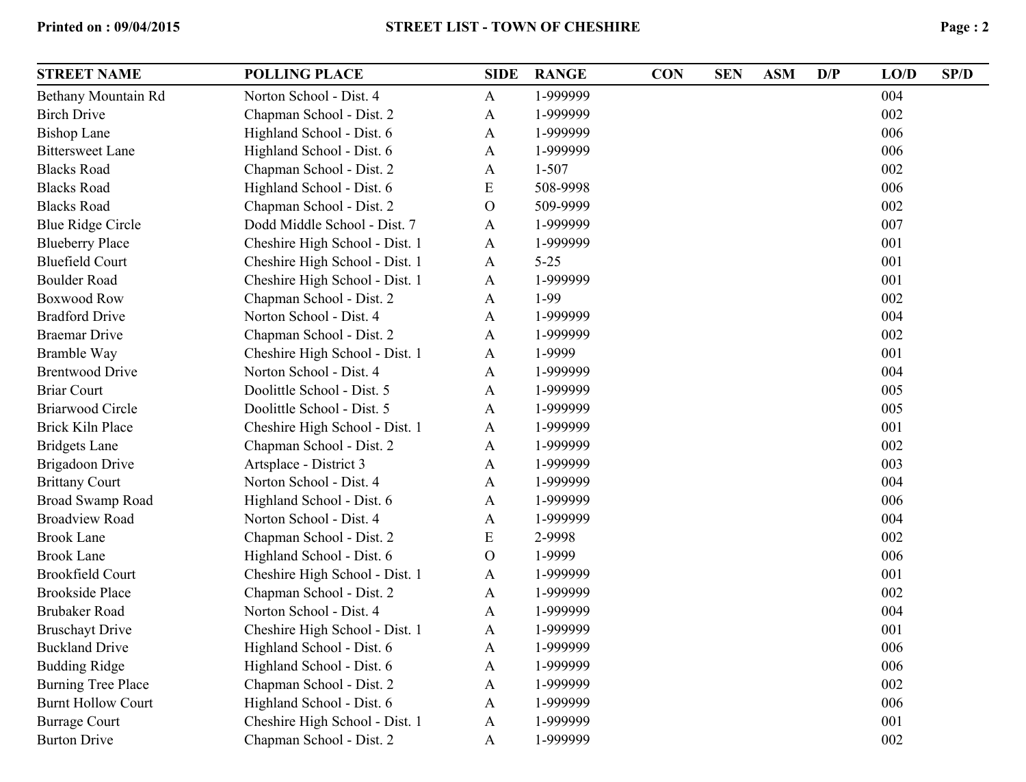| <b>STREET NAME</b>        | <b>POLLING PLACE</b>           | <b>SIDE</b>   | <b>RANGE</b> | <b>CON</b> | <b>SEN</b> | <b>ASM</b> | D/P | LO/D | SP/D |
|---------------------------|--------------------------------|---------------|--------------|------------|------------|------------|-----|------|------|
| Bethany Mountain Rd       | Norton School - Dist. 4        | $\mathbf{A}$  | 1-999999     |            |            |            |     | 004  |      |
| <b>Birch Drive</b>        | Chapman School - Dist. 2       | A             | 1-999999     |            |            |            |     | 002  |      |
| <b>Bishop Lane</b>        | Highland School - Dist. 6      | A             | 1-999999     |            |            |            |     | 006  |      |
| <b>Bittersweet Lane</b>   | Highland School - Dist. 6      | A             | 1-999999     |            |            |            |     | 006  |      |
| <b>Blacks Road</b>        | Chapman School - Dist. 2       | A             | 1-507        |            |            |            |     | 002  |      |
| <b>Blacks Road</b>        | Highland School - Dist. 6      | ${\bf E}$     | 508-9998     |            |            |            |     | 006  |      |
| <b>Blacks Road</b>        | Chapman School - Dist. 2       | $\mathcal{O}$ | 509-9999     |            |            |            |     | 002  |      |
| <b>Blue Ridge Circle</b>  | Dodd Middle School - Dist. 7   | A             | 1-999999     |            |            |            |     | 007  |      |
| <b>Blueberry Place</b>    | Cheshire High School - Dist. 1 | A             | 1-999999     |            |            |            |     | 001  |      |
| <b>Bluefield Court</b>    | Cheshire High School - Dist. 1 | A             | $5 - 25$     |            |            |            |     | 001  |      |
| <b>Boulder Road</b>       | Cheshire High School - Dist. 1 | A             | 1-999999     |            |            |            |     | 001  |      |
| <b>Boxwood Row</b>        | Chapman School - Dist. 2       | A             | 1-99         |            |            |            |     | 002  |      |
| <b>Bradford Drive</b>     | Norton School - Dist. 4        | A             | 1-999999     |            |            |            |     | 004  |      |
| <b>Braemar Drive</b>      | Chapman School - Dist. 2       | A             | 1-999999     |            |            |            |     | 002  |      |
| Bramble Way               | Cheshire High School - Dist. 1 | A             | 1-9999       |            |            |            |     | 001  |      |
| <b>Brentwood Drive</b>    | Norton School - Dist. 4        | A             | 1-999999     |            |            |            |     | 004  |      |
| <b>Briar Court</b>        | Doolittle School - Dist. 5     | A             | 1-999999     |            |            |            |     | 005  |      |
| <b>Briarwood Circle</b>   | Doolittle School - Dist. 5     | A             | 1-999999     |            |            |            |     | 005  |      |
| <b>Brick Kiln Place</b>   | Cheshire High School - Dist. 1 | A             | 1-999999     |            |            |            |     | 001  |      |
| <b>Bridgets Lane</b>      | Chapman School - Dist. 2       | A             | 1-999999     |            |            |            |     | 002  |      |
| <b>Brigadoon Drive</b>    | Artsplace - District 3         | A             | 1-999999     |            |            |            |     | 003  |      |
| <b>Brittany Court</b>     | Norton School - Dist. 4        | A             | 1-999999     |            |            |            |     | 004  |      |
| <b>Broad Swamp Road</b>   | Highland School - Dist. 6      | A             | 1-999999     |            |            |            |     | 006  |      |
| <b>Broadview Road</b>     | Norton School - Dist. 4        | A             | 1-999999     |            |            |            |     | 004  |      |
| <b>Brook Lane</b>         | Chapman School - Dist. 2       | ${\bf E}$     | 2-9998       |            |            |            |     | 002  |      |
| <b>Brook Lane</b>         | Highland School - Dist. 6      | $\mathbf{O}$  | 1-9999       |            |            |            |     | 006  |      |
| <b>Brookfield Court</b>   | Cheshire High School - Dist. 1 | A             | 1-999999     |            |            |            |     | 001  |      |
| <b>Brookside Place</b>    | Chapman School - Dist. 2       | A             | 1-999999     |            |            |            |     | 002  |      |
| <b>Brubaker Road</b>      | Norton School - Dist. 4        | A             | 1-999999     |            |            |            |     | 004  |      |
| <b>Bruschayt Drive</b>    | Cheshire High School - Dist. 1 | $\mathbf{A}$  | 1-999999     |            |            |            |     | 001  |      |
| <b>Buckland Drive</b>     | Highland School - Dist. 6      | Α             | 1-999999     |            |            |            |     | 006  |      |
| <b>Budding Ridge</b>      | Highland School - Dist. 6      | A             | 1-999999     |            |            |            |     | 006  |      |
| <b>Burning Tree Place</b> | Chapman School - Dist. 2       | A             | 1-999999     |            |            |            |     | 002  |      |
| <b>Burnt Hollow Court</b> | Highland School - Dist. 6      | A             | 1-999999     |            |            |            |     | 006  |      |
| <b>Burrage Court</b>      | Cheshire High School - Dist. 1 | A             | 1-999999     |            |            |            |     | 001  |      |
| <b>Burton Drive</b>       | Chapman School - Dist. 2       | $\mathbf{A}$  | 1-999999     |            |            |            |     | 002  |      |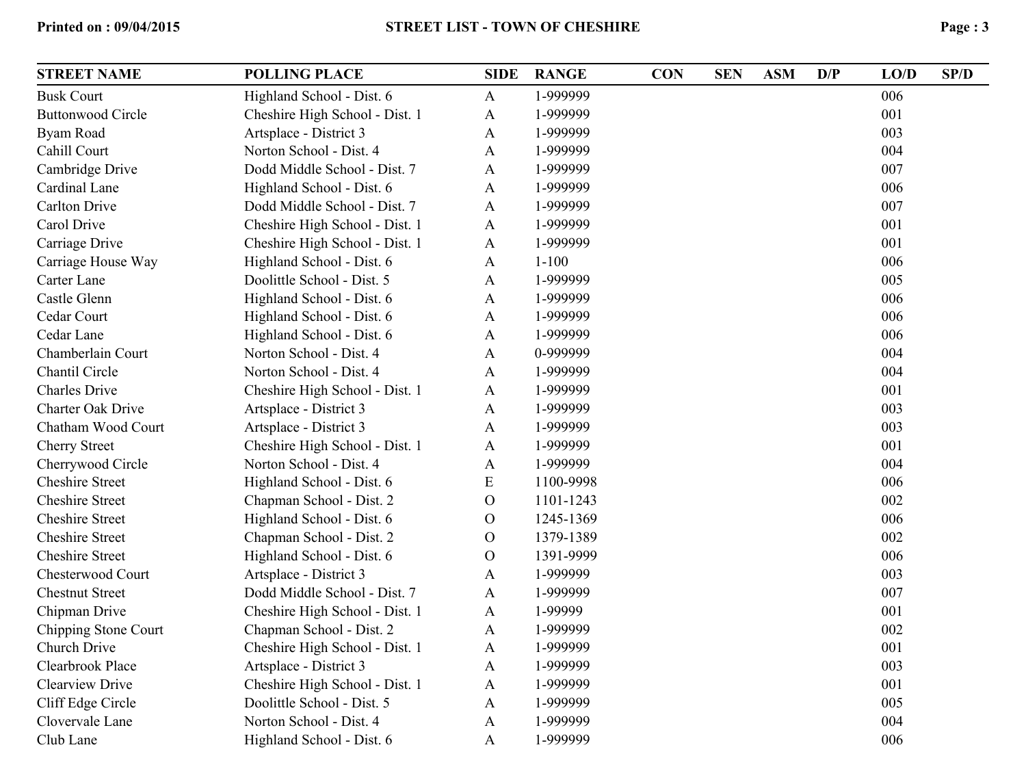| <b>STREET NAME</b>       | <b>POLLING PLACE</b>           | <b>SIDE</b>  | <b>RANGE</b> | <b>CON</b> | <b>SEN</b> | <b>ASM</b> | D/P | LO/D | SP/D |
|--------------------------|--------------------------------|--------------|--------------|------------|------------|------------|-----|------|------|
| <b>Busk Court</b>        | Highland School - Dist. 6      | A            | 1-999999     |            |            |            |     | 006  |      |
| <b>Buttonwood Circle</b> | Cheshire High School - Dist. 1 | A            | 1-999999     |            |            |            |     | 001  |      |
| Byam Road                | Artsplace - District 3         | A            | 1-999999     |            |            |            |     | 003  |      |
| Cahill Court             | Norton School - Dist. 4        | A            | 1-999999     |            |            |            |     | 004  |      |
| Cambridge Drive          | Dodd Middle School - Dist. 7   | A            | 1-999999     |            |            |            |     | 007  |      |
| Cardinal Lane            | Highland School - Dist. 6      | A            | 1-999999     |            |            |            |     | 006  |      |
| <b>Carlton Drive</b>     | Dodd Middle School - Dist. 7   | A            | 1-999999     |            |            |            |     | 007  |      |
| Carol Drive              | Cheshire High School - Dist. 1 | A            | 1-999999     |            |            |            |     | 001  |      |
| Carriage Drive           | Cheshire High School - Dist. 1 | A            | 1-999999     |            |            |            |     | 001  |      |
| Carriage House Way       | Highland School - Dist. 6      | A            | $1 - 100$    |            |            |            |     | 006  |      |
| Carter Lane              | Doolittle School - Dist. 5     | A            | 1-999999     |            |            |            |     | 005  |      |
| Castle Glenn             | Highland School - Dist. 6      | A            | 1-999999     |            |            |            |     | 006  |      |
| Cedar Court              | Highland School - Dist. 6      | A            | 1-999999     |            |            |            |     | 006  |      |
| Cedar Lane               | Highland School - Dist. 6      | A            | 1-999999     |            |            |            |     | 006  |      |
| Chamberlain Court        | Norton School - Dist. 4        | A            | 0-999999     |            |            |            |     | 004  |      |
| Chantil Circle           | Norton School - Dist. 4        | A            | 1-999999     |            |            |            |     | 004  |      |
| <b>Charles Drive</b>     | Cheshire High School - Dist. 1 | A            | 1-999999     |            |            |            |     | 001  |      |
| <b>Charter Oak Drive</b> | Artsplace - District 3         | A            | 1-999999     |            |            |            |     | 003  |      |
| Chatham Wood Court       | Artsplace - District 3         | A            | 1-999999     |            |            |            |     | 003  |      |
| <b>Cherry Street</b>     | Cheshire High School - Dist. 1 | A            | 1-999999     |            |            |            |     | 001  |      |
| Cherrywood Circle        | Norton School - Dist. 4        | A            | 1-999999     |            |            |            |     | 004  |      |
| <b>Cheshire Street</b>   | Highland School - Dist. 6      | E            | 1100-9998    |            |            |            |     | 006  |      |
| <b>Cheshire Street</b>   | Chapman School - Dist. 2       | $\mathbf{O}$ | 1101-1243    |            |            |            |     | 002  |      |
| <b>Cheshire Street</b>   | Highland School - Dist. 6      | $\mathbf{O}$ | 1245-1369    |            |            |            |     | 006  |      |
| <b>Cheshire Street</b>   | Chapman School - Dist. 2       | $\mathbf O$  | 1379-1389    |            |            |            |     | 002  |      |
| <b>Cheshire Street</b>   | Highland School - Dist. 6      | $\mathbf{O}$ | 1391-9999    |            |            |            |     | 006  |      |
| Chesterwood Court        | Artsplace - District 3         | A            | 1-999999     |            |            |            |     | 003  |      |
| <b>Chestnut Street</b>   | Dodd Middle School - Dist. 7   | A            | 1-999999     |            |            |            |     | 007  |      |
| Chipman Drive            | Cheshire High School - Dist. 1 | A            | 1-99999      |            |            |            |     | 001  |      |
| Chipping Stone Court     | Chapman School - Dist. 2       | A            | 1-999999     |            |            |            |     | 002  |      |
| Church Drive             | Cheshire High School - Dist. 1 | A            | 1-999999     |            |            |            |     | 001  |      |
| Clearbrook Place         | Artsplace - District 3         | A            | 1-999999     |            |            |            |     | 003  |      |
| <b>Clearview Drive</b>   | Cheshire High School - Dist. 1 | A            | 1-999999     |            |            |            |     | 001  |      |
| Cliff Edge Circle        | Doolittle School - Dist. 5     | A            | 1-999999     |            |            |            |     | 005  |      |
| Clovervale Lane          | Norton School - Dist. 4        | $\mathbf{A}$ | 1-999999     |            |            |            |     | 004  |      |
| Club Lane                | Highland School - Dist. 6      | $\mathbf{A}$ | 1-999999     |            |            |            |     | 006  |      |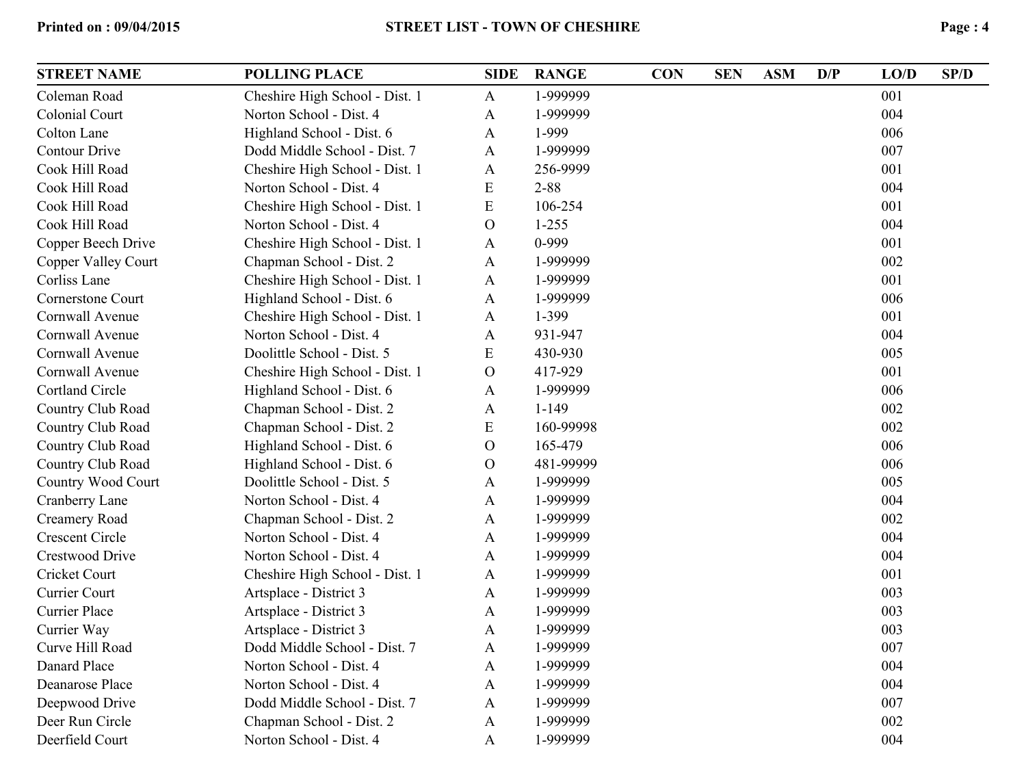| E | Page: 4 |
|---|---------|
|   |         |

| <b>STREET NAME</b>     | <b>POLLING PLACE</b>           | <b>SIDE</b>   | <b>RANGE</b> | <b>CON</b> | <b>SEN</b> | <b>ASM</b> | D/P | LO/D | SP/D |
|------------------------|--------------------------------|---------------|--------------|------------|------------|------------|-----|------|------|
| Coleman Road           | Cheshire High School - Dist. 1 | $\mathbf{A}$  | 1-999999     |            |            |            |     | 001  |      |
| Colonial Court         | Norton School - Dist. 4        | A             | 1-999999     |            |            |            |     | 004  |      |
| Colton Lane            | Highland School - Dist. 6      | $\mathbf{A}$  | 1-999        |            |            |            |     | 006  |      |
| <b>Contour Drive</b>   | Dodd Middle School - Dist. 7   | A             | 1-999999     |            |            |            |     | 007  |      |
| Cook Hill Road         | Cheshire High School - Dist. 1 | A             | 256-9999     |            |            |            |     | 001  |      |
| Cook Hill Road         | Norton School - Dist. 4        | E             | $2 - 88$     |            |            |            |     | 004  |      |
| Cook Hill Road         | Cheshire High School - Dist. 1 | E             | 106-254      |            |            |            |     | 001  |      |
| Cook Hill Road         | Norton School - Dist. 4        | $\mathcal{O}$ | $1 - 255$    |            |            |            |     | 004  |      |
| Copper Beech Drive     | Cheshire High School - Dist. 1 | A             | 0-999        |            |            |            |     | 001  |      |
| Copper Valley Court    | Chapman School - Dist. 2       | A             | 1-999999     |            |            |            |     | 002  |      |
| Corliss Lane           | Cheshire High School - Dist. 1 | A             | 1-999999     |            |            |            |     | 001  |      |
| Cornerstone Court      | Highland School - Dist. 6      | A             | 1-999999     |            |            |            |     | 006  |      |
| Cornwall Avenue        | Cheshire High School - Dist. 1 | A             | 1-399        |            |            |            |     | 001  |      |
| Cornwall Avenue        | Norton School - Dist. 4        | A             | 931-947      |            |            |            |     | 004  |      |
| Cornwall Avenue        | Doolittle School - Dist. 5     | E             | 430-930      |            |            |            |     | 005  |      |
| Cornwall Avenue        | Cheshire High School - Dist. 1 | $\mathcal{O}$ | 417-929      |            |            |            |     | 001  |      |
| Cortland Circle        | Highland School - Dist. 6      | A             | 1-999999     |            |            |            |     | 006  |      |
| Country Club Road      | Chapman School - Dist. 2       | A             | $1 - 149$    |            |            |            |     | 002  |      |
| Country Club Road      | Chapman School - Dist. 2       | E             | 160-99998    |            |            |            |     | 002  |      |
| Country Club Road      | Highland School - Dist. 6      | $\mathcal{O}$ | 165-479      |            |            |            |     | 006  |      |
| Country Club Road      | Highland School - Dist. 6      | $\mathcal{O}$ | 481-99999    |            |            |            |     | 006  |      |
| Country Wood Court     | Doolittle School - Dist. 5     | A             | 1-999999     |            |            |            |     | 005  |      |
| Cranberry Lane         | Norton School - Dist. 4        | A             | 1-999999     |            |            |            |     | 004  |      |
| Creamery Road          | Chapman School - Dist. 2       | $\mathbf{A}$  | 1-999999     |            |            |            |     | 002  |      |
| <b>Crescent Circle</b> | Norton School - Dist. 4        | A             | 1-999999     |            |            |            |     | 004  |      |
| <b>Crestwood Drive</b> | Norton School - Dist. 4        | A             | 1-999999     |            |            |            |     | 004  |      |
| Cricket Court          | Cheshire High School - Dist. 1 | A             | 1-999999     |            |            |            |     | 001  |      |
| Currier Court          | Artsplace - District 3         | A             | 1-999999     |            |            |            |     | 003  |      |
| <b>Currier Place</b>   | Artsplace - District 3         | A             | 1-999999     |            |            |            |     | 003  |      |
| Currier Way            | Artsplace - District 3         | A             | 1-999999     |            |            |            |     | 003  |      |
| Curve Hill Road        | Dodd Middle School - Dist. 7   | Α             | 1-999999     |            |            |            |     | 007  |      |
| Danard Place           | Norton School - Dist. 4        | A             | 1-999999     |            |            |            |     | 004  |      |
| Deanarose Place        | Norton School - Dist. 4        | $\mathbf{A}$  | 1-999999     |            |            |            |     | 004  |      |
| Deepwood Drive         | Dodd Middle School - Dist. 7   | A             | 1-999999     |            |            |            |     | 007  |      |
| Deer Run Circle        | Chapman School - Dist. 2       | A             | 1-999999     |            |            |            |     | 002  |      |
| Deerfield Court        | Norton School - Dist. 4        | $\mathbf{A}$  | 1-999999     |            |            |            |     | 004  |      |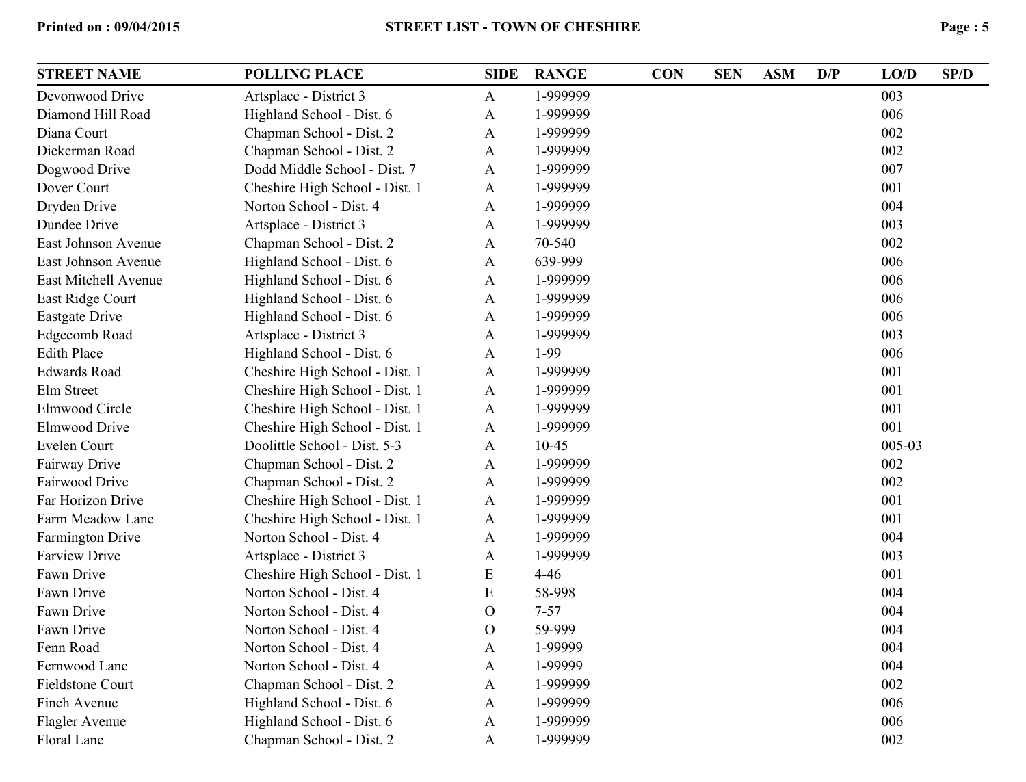| <b>STREET NAME</b>      | <b>POLLING PLACE</b>           | <b>SIDE</b>  | <b>RANGE</b> | <b>CON</b> | <b>SEN</b> | <b>ASM</b> | D/P | LO/D   | SP/D |
|-------------------------|--------------------------------|--------------|--------------|------------|------------|------------|-----|--------|------|
| Devonwood Drive         | Artsplace - District 3         | $\mathbf{A}$ | 1-999999     |            |            |            |     | 003    |      |
| Diamond Hill Road       | Highland School - Dist. 6      | A            | 1-999999     |            |            |            |     | 006    |      |
| Diana Court             | Chapman School - Dist. 2       | $\mathbf{A}$ | 1-999999     |            |            |            |     | 002    |      |
| Dickerman Road          | Chapman School - Dist. 2       | $\mathbf{A}$ | 1-999999     |            |            |            |     | 002    |      |
| Dogwood Drive           | Dodd Middle School - Dist. 7   | A            | 1-999999     |            |            |            |     | 007    |      |
| Dover Court             | Cheshire High School - Dist. 1 | A            | 1-999999     |            |            |            |     | 001    |      |
| Dryden Drive            | Norton School - Dist. 4        | A            | 1-999999     |            |            |            |     | 004    |      |
| Dundee Drive            | Artsplace - District 3         | A            | 1-999999     |            |            |            |     | 003    |      |
| East Johnson Avenue     | Chapman School - Dist. 2       | $\mathbf{A}$ | 70-540       |            |            |            |     | 002    |      |
| East Johnson Avenue     | Highland School - Dist. 6      | $\mathbf{A}$ | 639-999      |            |            |            |     | 006    |      |
| East Mitchell Avenue    | Highland School - Dist. 6      | A            | 1-999999     |            |            |            |     | 006    |      |
| East Ridge Court        | Highland School - Dist. 6      | A            | 1-999999     |            |            |            |     | 006    |      |
| Eastgate Drive          | Highland School - Dist. 6      | $\mathbf{A}$ | 1-999999     |            |            |            |     | 006    |      |
| Edgecomb Road           | Artsplace - District 3         | A            | 1-999999     |            |            |            |     | 003    |      |
| <b>Edith Place</b>      | Highland School - Dist. 6      | $\mathbf{A}$ | $1-99$       |            |            |            |     | 006    |      |
| <b>Edwards Road</b>     | Cheshire High School - Dist. 1 | $\mathbf{A}$ | 1-999999     |            |            |            |     | 001    |      |
| Elm Street              | Cheshire High School - Dist. 1 | A            | 1-999999     |            |            |            |     | 001    |      |
| Elmwood Circle          | Cheshire High School - Dist. 1 | A            | 1-999999     |            |            |            |     | 001    |      |
| Elmwood Drive           | Cheshire High School - Dist. 1 | A            | 1-999999     |            |            |            |     | 001    |      |
| Evelen Court            | Doolittle School - Dist. 5-3   | A            | $10 - 45$    |            |            |            |     | 005-03 |      |
| Fairway Drive           | Chapman School - Dist. 2       | $\mathbf{A}$ | 1-999999     |            |            |            |     | 002    |      |
| Fairwood Drive          | Chapman School - Dist. 2       | $\mathbf{A}$ | 1-999999     |            |            |            |     | 002    |      |
| Far Horizon Drive       | Cheshire High School - Dist. 1 | A            | 1-999999     |            |            |            |     | 001    |      |
| Farm Meadow Lane        | Cheshire High School - Dist. 1 | A            | 1-999999     |            |            |            |     | 001    |      |
| <b>Farmington Drive</b> | Norton School - Dist. 4        | $\mathbf{A}$ | 1-999999     |            |            |            |     | 004    |      |
| <b>Farview Drive</b>    | Artsplace - District 3         | A            | 1-999999     |            |            |            |     | 003    |      |
| Fawn Drive              | Cheshire High School - Dist. 1 | E            | $4 - 46$     |            |            |            |     | 001    |      |
| Fawn Drive              | Norton School - Dist. 4        | E            | 58-998       |            |            |            |     | 004    |      |
| Fawn Drive              | Norton School - Dist. 4        | O            | $7 - 57$     |            |            |            |     | 004    |      |
| Fawn Drive              | Norton School - Dist. 4        | $\mathbf{O}$ | 59-999       |            |            |            |     | 004    |      |
| Fenn Road               | Norton School - Dist. 4        | Α            | 1-99999      |            |            |            |     | 004    |      |
| Fernwood Lane           | Norton School - Dist. 4        | $\mathbf{A}$ | 1-99999      |            |            |            |     | 004    |      |
| <b>Fieldstone Court</b> | Chapman School - Dist. 2       | $\mathbf{A}$ | 1-999999     |            |            |            |     | 002    |      |
| Finch Avenue            | Highland School - Dist. 6      | $\mathbf{A}$ | 1-999999     |            |            |            |     | 006    |      |
| Flagler Avenue          | Highland School - Dist. 6      | A            | 1-999999     |            |            |            |     | 006    |      |
| Floral Lane             | Chapman School - Dist. 2       | $\mathbf{A}$ | 1-999999     |            |            |            |     | 002    |      |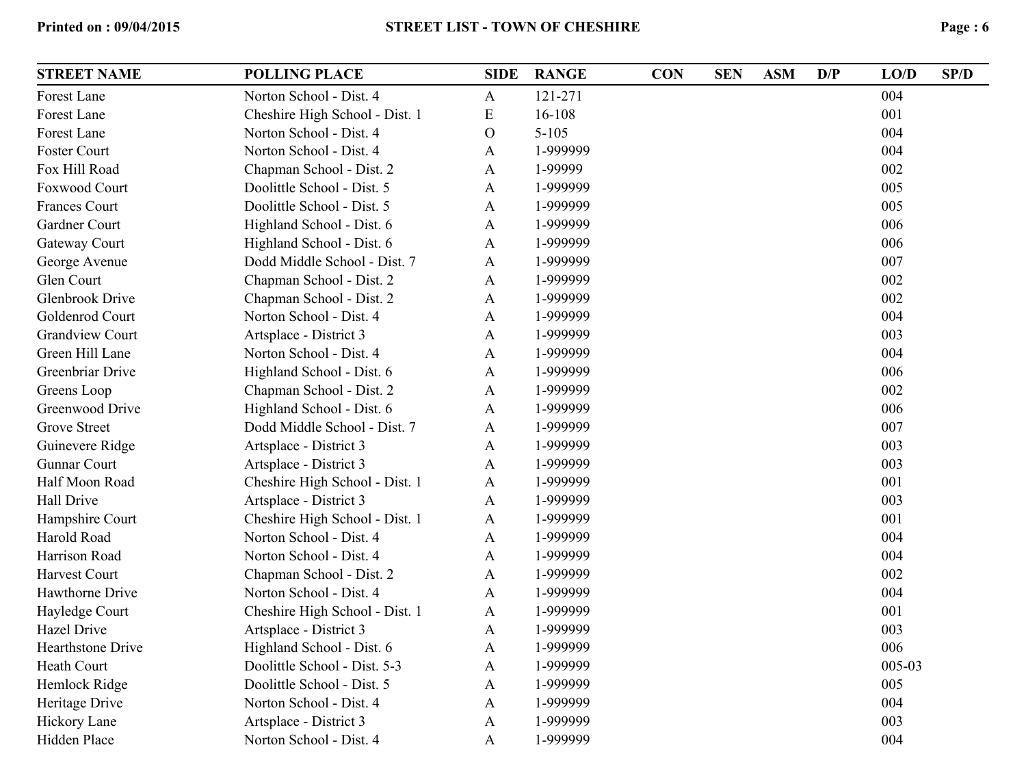| <b>STREET NAME</b>       | <b>POLLING PLACE</b>           | <b>SIDE</b>  | <b>RANGE</b> | <b>CON</b> | <b>SEN</b> | <b>ASM</b> | D/P | LO/D   | SP/D |
|--------------------------|--------------------------------|--------------|--------------|------------|------------|------------|-----|--------|------|
| Forest Lane              | Norton School - Dist. 4        | $\mathbf{A}$ | 121-271      |            |            |            |     | 004    |      |
| Forest Lane              | Cheshire High School - Dist. 1 | E            | 16-108       |            |            |            |     | 001    |      |
| Forest Lane              | Norton School - Dist. 4        | $\mathbf{O}$ | $5 - 105$    |            |            |            |     | 004    |      |
| Foster Court             | Norton School - Dist. 4        | A            | 1-999999     |            |            |            |     | 004    |      |
| Fox Hill Road            | Chapman School - Dist. 2       | $\mathbf{A}$ | 1-99999      |            |            |            |     | 002    |      |
| <b>Foxwood Court</b>     | Doolittle School - Dist. 5     | $\mathbf{A}$ | 1-999999     |            |            |            |     | 005    |      |
| <b>Frances Court</b>     | Doolittle School - Dist. 5     | $\mathbf{A}$ | 1-999999     |            |            |            |     | 005    |      |
| Gardner Court            | Highland School - Dist. 6      | $\mathbf{A}$ | 1-999999     |            |            |            |     | 006    |      |
| Gateway Court            | Highland School - Dist. 6      | A            | 1-999999     |            |            |            |     | 006    |      |
| George Avenue            | Dodd Middle School - Dist. 7   | $\mathbf{A}$ | 1-999999     |            |            |            |     | 007    |      |
| Glen Court               | Chapman School - Dist. 2       | $\mathbf{A}$ | 1-999999     |            |            |            |     | 002    |      |
| <b>Glenbrook Drive</b>   | Chapman School - Dist. 2       | $\mathbf{A}$ | 1-999999     |            |            |            |     | 002    |      |
| Goldenrod Court          | Norton School - Dist. 4        | A            | 1-999999     |            |            |            |     | 004    |      |
| <b>Grandview Court</b>   | Artsplace - District 3         | $\mathbf{A}$ | 1-999999     |            |            |            |     | 003    |      |
| Green Hill Lane          | Norton School - Dist. 4        | $\mathbf{A}$ | 1-999999     |            |            |            |     | 004    |      |
| Greenbriar Drive         | Highland School - Dist. 6      | $\mathbf{A}$ | 1-999999     |            |            |            |     | 006    |      |
| Greens Loop              | Chapman School - Dist. 2       | A            | 1-999999     |            |            |            |     | 002    |      |
| Greenwood Drive          | Highland School - Dist. 6      | A            | 1-999999     |            |            |            |     | 006    |      |
| <b>Grove Street</b>      | Dodd Middle School - Dist. 7   | A            | 1-999999     |            |            |            |     | 007    |      |
| Guinevere Ridge          | Artsplace - District 3         | $\mathbf{A}$ | 1-999999     |            |            |            |     | 003    |      |
| <b>Gunnar Court</b>      | Artsplace - District 3         | $\mathbf{A}$ | 1-999999     |            |            |            |     | 003    |      |
| Half Moon Road           | Cheshire High School - Dist. 1 | A            | 1-999999     |            |            |            |     | 001    |      |
| Hall Drive               | Artsplace - District 3         | A            | 1-999999     |            |            |            |     | 003    |      |
| Hampshire Court          | Cheshire High School - Dist. 1 | $\mathbf{A}$ | 1-999999     |            |            |            |     | 001    |      |
| Harold Road              | Norton School - Dist. 4        | $\mathbf{A}$ | 1-999999     |            |            |            |     | 004    |      |
| Harrison Road            | Norton School - Dist. 4        | $\mathbf{A}$ | 1-999999     |            |            |            |     | 004    |      |
| <b>Harvest Court</b>     | Chapman School - Dist. 2       | $\mathbf{A}$ | 1-999999     |            |            |            |     | 002    |      |
| Hawthorne Drive          | Norton School - Dist. 4        | $\mathbf{A}$ | 1-999999     |            |            |            |     | 004    |      |
| Hayledge Court           | Cheshire High School - Dist. 1 | $\mathbf{A}$ | 1-999999     |            |            |            |     | 001    |      |
| <b>Hazel Drive</b>       | Artsplace - District 3         | $\mathbf{A}$ | 1-999999     |            |            |            |     | 003    |      |
| <b>Hearthstone Drive</b> | Highland School - Dist. 6      | A            | 1-999999     |            |            |            |     | 006    |      |
| Heath Court              | Doolittle School - Dist. 5-3   | $\mathbf{A}$ | 1-999999     |            |            |            |     | 005-03 |      |
| Hemlock Ridge            | Doolittle School - Dist. 5     | $\mathbf{A}$ | 1-999999     |            |            |            |     | 005    |      |
| Heritage Drive           | Norton School - Dist. 4        | $\mathbf{A}$ | 1-999999     |            |            |            |     | 004    |      |
| Hickory Lane             | Artsplace - District 3         | $\mathbf{A}$ | 1-999999     |            |            |            |     | 003    |      |
| Hidden Place             | Norton School - Dist. 4        | A            | 1-999999     |            |            |            |     | 004    |      |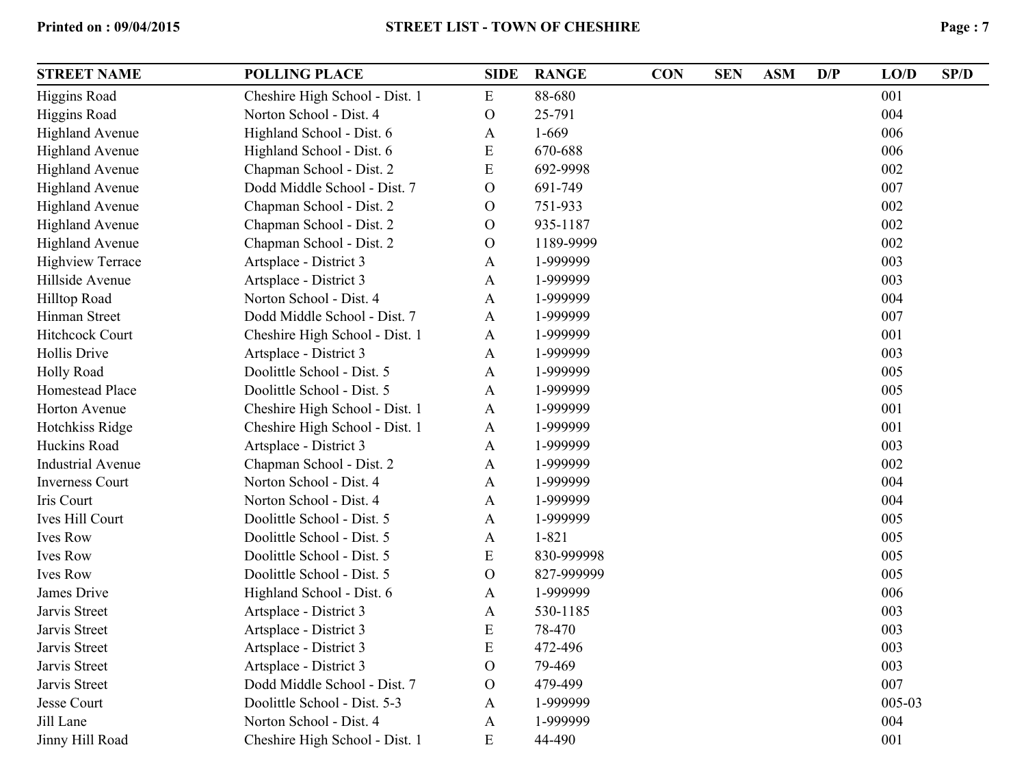| <b>STREET NAME</b>       | <b>POLLING PLACE</b>           | <b>SIDE</b>    | <b>RANGE</b> | <b>CON</b> | <b>SEN</b> | <b>ASM</b> | D/P | LO/D   | SP/D |
|--------------------------|--------------------------------|----------------|--------------|------------|------------|------------|-----|--------|------|
| <b>Higgins Road</b>      | Cheshire High School - Dist. 1 | ${\bf E}$      | 88-680       |            |            |            |     | 001    |      |
| <b>Higgins Road</b>      | Norton School - Dist. 4        | $\mathbf O$    | 25-791       |            |            |            |     | 004    |      |
| <b>Highland Avenue</b>   | Highland School - Dist. 6      | A              | $1 - 669$    |            |            |            |     | 006    |      |
| <b>Highland Avenue</b>   | Highland School - Dist. 6      | ${\bf E}$      | 670-688      |            |            |            |     | 006    |      |
| <b>Highland Avenue</b>   | Chapman School - Dist. 2       | E              | 692-9998     |            |            |            |     | 002    |      |
| <b>Highland Avenue</b>   | Dodd Middle School - Dist. 7   | $\mathcal{O}$  | 691-749      |            |            |            |     | 007    |      |
| <b>Highland Avenue</b>   | Chapman School - Dist. 2       | $\mathcal{O}$  | 751-933      |            |            |            |     | 002    |      |
| <b>Highland Avenue</b>   | Chapman School - Dist. 2       | $\mathbf{O}$   | 935-1187     |            |            |            |     | 002    |      |
| <b>Highland Avenue</b>   | Chapman School - Dist. 2       | $\mathcal{O}$  | 1189-9999    |            |            |            |     | 002    |      |
| <b>Highview Terrace</b>  | Artsplace - District 3         | A              | 1-999999     |            |            |            |     | 003    |      |
| Hillside Avenue          | Artsplace - District 3         | A              | 1-999999     |            |            |            |     | 003    |      |
| Hilltop Road             | Norton School - Dist. 4        | A              | 1-999999     |            |            |            |     | 004    |      |
| Hinman Street            | Dodd Middle School - Dist. 7   | A              | 1-999999     |            |            |            |     | 007    |      |
| <b>Hitchcock Court</b>   | Cheshire High School - Dist. 1 | A              | 1-999999     |            |            |            |     | 001    |      |
| Hollis Drive             | Artsplace - District 3         | A              | 1-999999     |            |            |            |     | 003    |      |
| Holly Road               | Doolittle School - Dist. 5     | $\mathbf{A}$   | 1-999999     |            |            |            |     | 005    |      |
| Homestead Place          | Doolittle School - Dist. 5     | A              | 1-999999     |            |            |            |     | 005    |      |
| Horton Avenue            | Cheshire High School - Dist. 1 | $\mathbf{A}$   | 1-999999     |            |            |            |     | 001    |      |
| Hotchkiss Ridge          | Cheshire High School - Dist. 1 | $\mathbf{A}$   | 1-999999     |            |            |            |     | 001    |      |
| Huckins Road             | Artsplace - District 3         | A              | 1-999999     |            |            |            |     | 003    |      |
| <b>Industrial Avenue</b> | Chapman School - Dist. 2       | $\mathbf{A}$   | 1-999999     |            |            |            |     | 002    |      |
| <b>Inverness Court</b>   | Norton School - Dist. 4        | $\mathbf{A}$   | 1-999999     |            |            |            |     | 004    |      |
| Iris Court               | Norton School - Dist. 4        | $\mathbf{A}$   | 1-999999     |            |            |            |     | 004    |      |
| Ives Hill Court          | Doolittle School - Dist. 5     | $\mathbf{A}$   | 1-999999     |            |            |            |     | 005    |      |
| <b>Ives Row</b>          | Doolittle School - Dist. 5     | $\mathbf{A}$   | $1 - 821$    |            |            |            |     | 005    |      |
| <b>Ives Row</b>          | Doolittle School - Dist. 5     | ${\bf E}$      | 830-999998   |            |            |            |     | 005    |      |
| <b>Ives Row</b>          | Doolittle School - Dist. 5     | $\overline{O}$ | 827-999999   |            |            |            |     | 005    |      |
| James Drive              | Highland School - Dist. 6      | A              | 1-999999     |            |            |            |     | 006    |      |
| Jarvis Street            | Artsplace - District 3         | A              | 530-1185     |            |            |            |     | 003    |      |
| Jarvis Street            | Artsplace - District 3         | ${\bf E}$      | 78-470       |            |            |            |     | 003    |      |
| Jarvis Street            | Artsplace - District 3         | E              | 472-496      |            |            |            |     | 003    |      |
| Jarvis Street            | Artsplace - District 3         | $\mathbf{O}$   | 79-469       |            |            |            |     | 003    |      |
| Jarvis Street            | Dodd Middle School - Dist. 7   | $\mathbf{O}$   | 479-499      |            |            |            |     | 007    |      |
| Jesse Court              | Doolittle School - Dist. 5-3   | A              | 1-999999     |            |            |            |     | 005-03 |      |
| Jill Lane                | Norton School - Dist. 4        | A              | 1-999999     |            |            |            |     | 004    |      |
| Jinny Hill Road          | Cheshire High School - Dist. 1 | E              | 44-490       |            |            |            |     | 001    |      |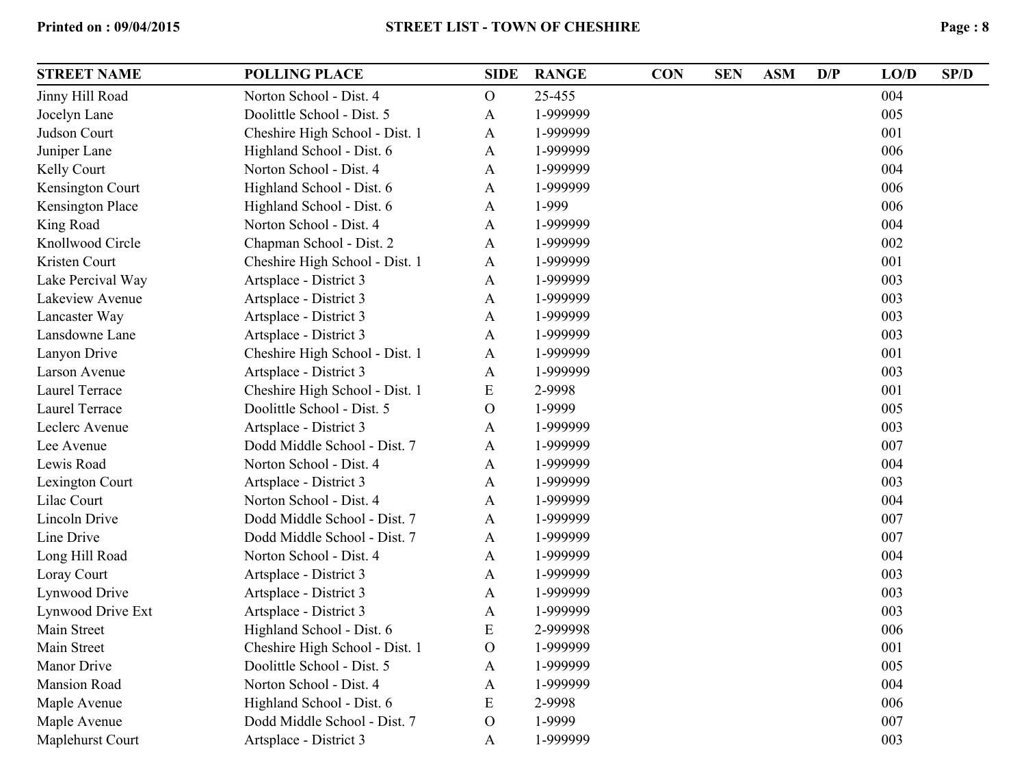| <b>STREET NAME</b>      | <b>POLLING PLACE</b>           | <b>SIDE</b>   | <b>RANGE</b> | <b>CON</b> | <b>SEN</b> | <b>ASM</b> | D/P | LO/D | SP/D |
|-------------------------|--------------------------------|---------------|--------------|------------|------------|------------|-----|------|------|
| Jinny Hill Road         | Norton School - Dist. 4        | $\mathcal{O}$ | 25-455       |            |            |            |     | 004  |      |
| Jocelyn Lane            | Doolittle School - Dist. 5     | A             | 1-999999     |            |            |            |     | 005  |      |
| Judson Court            | Cheshire High School - Dist. 1 | A             | 1-999999     |            |            |            |     | 001  |      |
| Juniper Lane            | Highland School - Dist. 6      | A             | 1-999999     |            |            |            |     | 006  |      |
| Kelly Court             | Norton School - Dist. 4        | A             | 1-999999     |            |            |            |     | 004  |      |
| Kensington Court        | Highland School - Dist. 6      | A             | 1-999999     |            |            |            |     | 006  |      |
| <b>Kensington Place</b> | Highland School - Dist. 6      | $\mathbf{A}$  | 1-999        |            |            |            |     | 006  |      |
| King Road               | Norton School - Dist. 4        | A             | 1-999999     |            |            |            |     | 004  |      |
| Knollwood Circle        | Chapman School - Dist. 2       | A             | 1-999999     |            |            |            |     | 002  |      |
| Kristen Court           | Cheshire High School - Dist. 1 | A             | 1-999999     |            |            |            |     | 001  |      |
| Lake Percival Way       | Artsplace - District 3         | A             | 1-999999     |            |            |            |     | 003  |      |
| Lakeview Avenue         | Artsplace - District 3         | A             | 1-999999     |            |            |            |     | 003  |      |
| Lancaster Way           | Artsplace - District 3         | A             | 1-999999     |            |            |            |     | 003  |      |
| Lansdowne Lane          | Artsplace - District 3         | A             | 1-999999     |            |            |            |     | 003  |      |
| Lanyon Drive            | Cheshire High School - Dist. 1 | A             | 1-999999     |            |            |            |     | 001  |      |
| Larson Avenue           | Artsplace - District 3         | A             | 1-999999     |            |            |            |     | 003  |      |
| Laurel Terrace          | Cheshire High School - Dist. 1 | E             | 2-9998       |            |            |            |     | 001  |      |
| Laurel Terrace          | Doolittle School - Dist. 5     | $\mathbf O$   | 1-9999       |            |            |            |     | 005  |      |
| Leclerc Avenue          | Artsplace - District 3         | A             | 1-999999     |            |            |            |     | 003  |      |
| Lee Avenue              | Dodd Middle School - Dist. 7   | A             | 1-999999     |            |            |            |     | 007  |      |
| Lewis Road              | Norton School - Dist. 4        | A             | 1-999999     |            |            |            |     | 004  |      |
| Lexington Court         | Artsplace - District 3         | A             | 1-999999     |            |            |            |     | 003  |      |
| Lilac Court             | Norton School - Dist. 4        | A             | 1-999999     |            |            |            |     | 004  |      |
| Lincoln Drive           | Dodd Middle School - Dist. 7   | A             | 1-999999     |            |            |            |     | 007  |      |
| Line Drive              | Dodd Middle School - Dist. 7   | A             | 1-999999     |            |            |            |     | 007  |      |
| Long Hill Road          | Norton School - Dist. 4        | A             | 1-999999     |            |            |            |     | 004  |      |
| Loray Court             | Artsplace - District 3         | A             | 1-999999     |            |            |            |     | 003  |      |
| Lynwood Drive           | Artsplace - District 3         | A             | 1-999999     |            |            |            |     | 003  |      |
| Lynwood Drive Ext       | Artsplace - District 3         | A             | 1-999999     |            |            |            |     | 003  |      |
| Main Street             | Highland School - Dist. 6      | E             | 2-999998     |            |            |            |     | 006  |      |
| Main Street             | Cheshire High School - Dist. 1 | $\mathbf O$   | 1-999999     |            |            |            |     | 001  |      |
| <b>Manor Drive</b>      | Doolittle School - Dist. 5     | A             | 1-999999     |            |            |            |     | 005  |      |
| <b>Mansion Road</b>     | Norton School - Dist. 4        | A             | 1-999999     |            |            |            |     | 004  |      |
| Maple Avenue            | Highland School - Dist. 6      | E             | 2-9998       |            |            |            |     | 006  |      |
| Maple Avenue            | Dodd Middle School - Dist. 7   | $\mathbf O$   | 1-9999       |            |            |            |     | 007  |      |
| Maplehurst Court        | Artsplace - District 3         | A             | 1-999999     |            |            |            |     | 003  |      |
|                         |                                |               |              |            |            |            |     |      |      |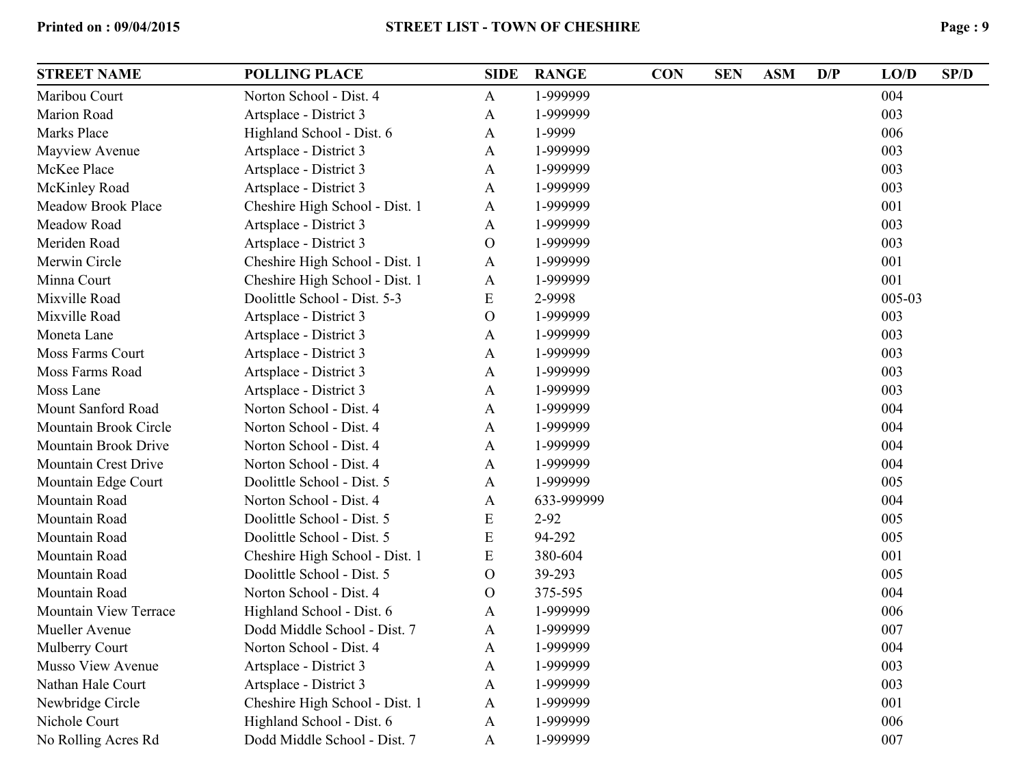| <b>STREET NAME</b>          | <b>POLLING PLACE</b>           | <b>SIDE</b>  | <b>RANGE</b> | <b>CON</b> | <b>SEN</b> | <b>ASM</b> | D/P | LO/D   | SP/D |
|-----------------------------|--------------------------------|--------------|--------------|------------|------------|------------|-----|--------|------|
| Maribou Court               | Norton School - Dist. 4        | $\mathbf{A}$ | 1-999999     |            |            |            |     | 004    |      |
| Marion Road                 | Artsplace - District 3         | $\mathbf{A}$ | 1-999999     |            |            |            |     | 003    |      |
| Marks Place                 | Highland School - Dist. 6      | A            | 1-9999       |            |            |            |     | 006    |      |
| Mayview Avenue              | Artsplace - District 3         | A            | 1-999999     |            |            |            |     | 003    |      |
| McKee Place                 | Artsplace - District 3         | A            | 1-999999     |            |            |            |     | 003    |      |
| McKinley Road               | Artsplace - District 3         | A            | 1-999999     |            |            |            |     | 003    |      |
| <b>Meadow Brook Place</b>   | Cheshire High School - Dist. 1 | $\mathbf{A}$ | 1-999999     |            |            |            |     | 001    |      |
| Meadow Road                 | Artsplace - District 3         | A            | 1-999999     |            |            |            |     | 003    |      |
| Meriden Road                | Artsplace - District 3         | $\mathbf O$  | 1-999999     |            |            |            |     | 003    |      |
| Merwin Circle               | Cheshire High School - Dist. 1 | $\mathbf{A}$ | 1-999999     |            |            |            |     | 001    |      |
| Minna Court                 | Cheshire High School - Dist. 1 | $\mathbf{A}$ | 1-999999     |            |            |            |     | 001    |      |
| Mixville Road               | Doolittle School - Dist. 5-3   | E            | 2-9998       |            |            |            |     | 005-03 |      |
| Mixville Road               | Artsplace - District 3         | $\mathbf O$  | 1-999999     |            |            |            |     | 003    |      |
| Moneta Lane                 | Artsplace - District 3         | $\mathbf{A}$ | 1-999999     |            |            |            |     | 003    |      |
| Moss Farms Court            | Artsplace - District 3         | A            | 1-999999     |            |            |            |     | 003    |      |
| Moss Farms Road             | Artsplace - District 3         | A            | 1-999999     |            |            |            |     | 003    |      |
| Moss Lane                   | Artsplace - District 3         | A            | 1-999999     |            |            |            |     | 003    |      |
| Mount Sanford Road          | Norton School - Dist. 4        | A            | 1-999999     |            |            |            |     | 004    |      |
| Mountain Brook Circle       | Norton School - Dist. 4        | A            | 1-999999     |            |            |            |     | 004    |      |
| Mountain Brook Drive        | Norton School - Dist. 4        | A            | 1-999999     |            |            |            |     | 004    |      |
| <b>Mountain Crest Drive</b> | Norton School - Dist. 4        | A            | 1-999999     |            |            |            |     | 004    |      |
| Mountain Edge Court         | Doolittle School - Dist. 5     | A            | 1-999999     |            |            |            |     | 005    |      |
| Mountain Road               | Norton School - Dist. 4        | A            | 633-999999   |            |            |            |     | 004    |      |
| Mountain Road               | Doolittle School - Dist. 5     | E            | $2 - 92$     |            |            |            |     | 005    |      |
| Mountain Road               | Doolittle School - Dist. 5     | E            | 94-292       |            |            |            |     | 005    |      |
| Mountain Road               | Cheshire High School - Dist. 1 | ${\bf E}$    | 380-604      |            |            |            |     | 001    |      |
| Mountain Road               | Doolittle School - Dist. 5     | $\mathbf{O}$ | 39-293       |            |            |            |     | 005    |      |
| Mountain Road               | Norton School - Dist. 4        | $\mathbf{O}$ | 375-595      |            |            |            |     | 004    |      |
| Mountain View Terrace       | Highland School - Dist. 6      | A            | 1-999999     |            |            |            |     | 006    |      |
| Mueller Avenue              | Dodd Middle School - Dist. 7   | A            | 1-999999     |            |            |            |     | 007    |      |
| Mulberry Court              | Norton School - Dist. 4        | A            | 1-999999     |            |            |            |     | 004    |      |
| Musso View Avenue           | Artsplace - District 3         | A            | 1-999999     |            |            |            |     | 003    |      |
| Nathan Hale Court           | Artsplace - District 3         | A            | 1-999999     |            |            |            |     | 003    |      |
| Newbridge Circle            | Cheshire High School - Dist. 1 | A            | 1-999999     |            |            |            |     | 001    |      |
| Nichole Court               | Highland School - Dist. 6      | A            | 1-999999     |            |            |            |     | 006    |      |
| No Rolling Acres Rd         | Dodd Middle School - Dist. 7   | A            | 1-999999     |            |            |            |     | 007    |      |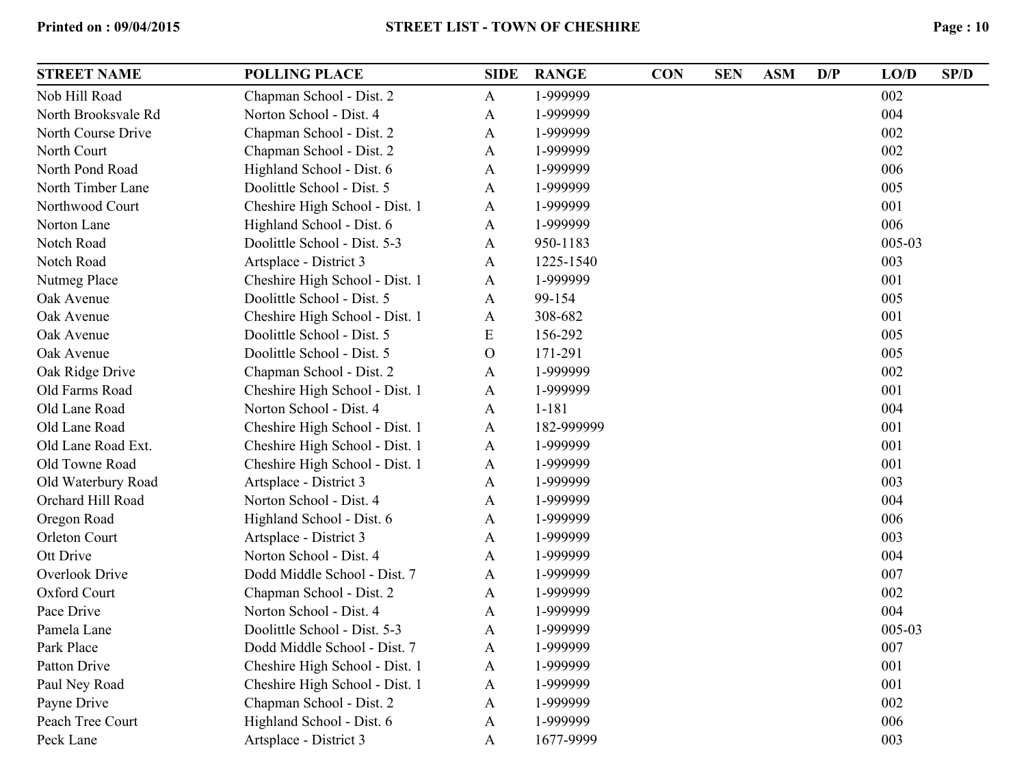| <b>STREET NAME</b>    | <b>POLLING PLACE</b>           | <b>SIDE</b>  | <b>RANGE</b> | <b>CON</b> | <b>SEN</b> | <b>ASM</b> | D/P | LO/D   | SP/D |
|-----------------------|--------------------------------|--------------|--------------|------------|------------|------------|-----|--------|------|
| Nob Hill Road         | Chapman School - Dist. 2       | A            | 1-999999     |            |            |            |     | 002    |      |
| North Brooksvale Rd   | Norton School - Dist. 4        | A            | 1-999999     |            |            |            |     | 004    |      |
| North Course Drive    | Chapman School - Dist. 2       | A            | 1-999999     |            |            |            |     | 002    |      |
| North Court           | Chapman School - Dist. 2       | A            | 1-999999     |            |            |            |     | 002    |      |
| North Pond Road       | Highland School - Dist. 6      | A            | 1-999999     |            |            |            |     | 006    |      |
| North Timber Lane     | Doolittle School - Dist. 5     | A            | 1-999999     |            |            |            |     | 005    |      |
| Northwood Court       | Cheshire High School - Dist. 1 | A            | 1-999999     |            |            |            |     | 001    |      |
| Norton Lane           | Highland School - Dist. 6      | A            | 1-999999     |            |            |            |     | 006    |      |
| Notch Road            | Doolittle School - Dist. 5-3   | A            | 950-1183     |            |            |            |     | 005-03 |      |
| Notch Road            | Artsplace - District 3         | A            | 1225-1540    |            |            |            |     | 003    |      |
| Nutmeg Place          | Cheshire High School - Dist. 1 | A            | 1-999999     |            |            |            |     | 001    |      |
| Oak Avenue            | Doolittle School - Dist. 5     | A            | 99-154       |            |            |            |     | 005    |      |
| Oak Avenue            | Cheshire High School - Dist. 1 | A            | 308-682      |            |            |            |     | 001    |      |
| Oak Avenue            | Doolittle School - Dist. 5     | ${\rm E}$    | 156-292      |            |            |            |     | 005    |      |
| Oak Avenue            | Doolittle School - Dist. 5     | $\mathbf{O}$ | 171-291      |            |            |            |     | 005    |      |
| Oak Ridge Drive       | Chapman School - Dist. 2       | A            | 1-999999     |            |            |            |     | 002    |      |
| Old Farms Road        | Cheshire High School - Dist. 1 | A            | 1-999999     |            |            |            |     | 001    |      |
| Old Lane Road         | Norton School - Dist. 4        | A            | $1 - 181$    |            |            |            |     | 004    |      |
| Old Lane Road         | Cheshire High School - Dist. 1 | A            | 182-999999   |            |            |            |     | 001    |      |
| Old Lane Road Ext.    | Cheshire High School - Dist. 1 | A            | 1-999999     |            |            |            |     | 001    |      |
| Old Towne Road        | Cheshire High School - Dist. 1 | A            | 1-999999     |            |            |            |     | 001    |      |
| Old Waterbury Road    | Artsplace - District 3         | A            | 1-999999     |            |            |            |     | 003    |      |
| Orchard Hill Road     | Norton School - Dist. 4        | A            | 1-999999     |            |            |            |     | 004    |      |
| Oregon Road           | Highland School - Dist. 6      | A            | 1-999999     |            |            |            |     | 006    |      |
| <b>Orleton Court</b>  | Artsplace - District 3         | A            | 1-999999     |            |            |            |     | 003    |      |
| Ott Drive             | Norton School - Dist. 4        | A            | 1-999999     |            |            |            |     | 004    |      |
| <b>Overlook Drive</b> | Dodd Middle School - Dist. 7   | A            | 1-999999     |            |            |            |     | 007    |      |
| Oxford Court          | Chapman School - Dist. 2       | A            | 1-999999     |            |            |            |     | 002    |      |
| Pace Drive            | Norton School - Dist. 4        | A            | 1-999999     |            |            |            |     | 004    |      |
| Pamela Lane           | Doolittle School - Dist. 5-3   | A            | 1-999999     |            |            |            |     | 005-03 |      |
| Park Place            | Dodd Middle School - Dist. 7   | A            | 1-999999     |            |            |            |     | 007    |      |
| <b>Patton Drive</b>   | Cheshire High School - Dist. 1 | A            | 1-999999     |            |            |            |     | 001    |      |
| Paul Ney Road         | Cheshire High School - Dist. 1 | A            | 1-999999     |            |            |            |     | 001    |      |
| Payne Drive           | Chapman School - Dist. 2       | A            | 1-999999     |            |            |            |     | 002    |      |
| Peach Tree Court      | Highland School - Dist. 6      | A            | 1-999999     |            |            |            |     | 006    |      |
| Peck Lane             | Artsplace - District 3         | A            | 1677-9999    |            |            |            |     | 003    |      |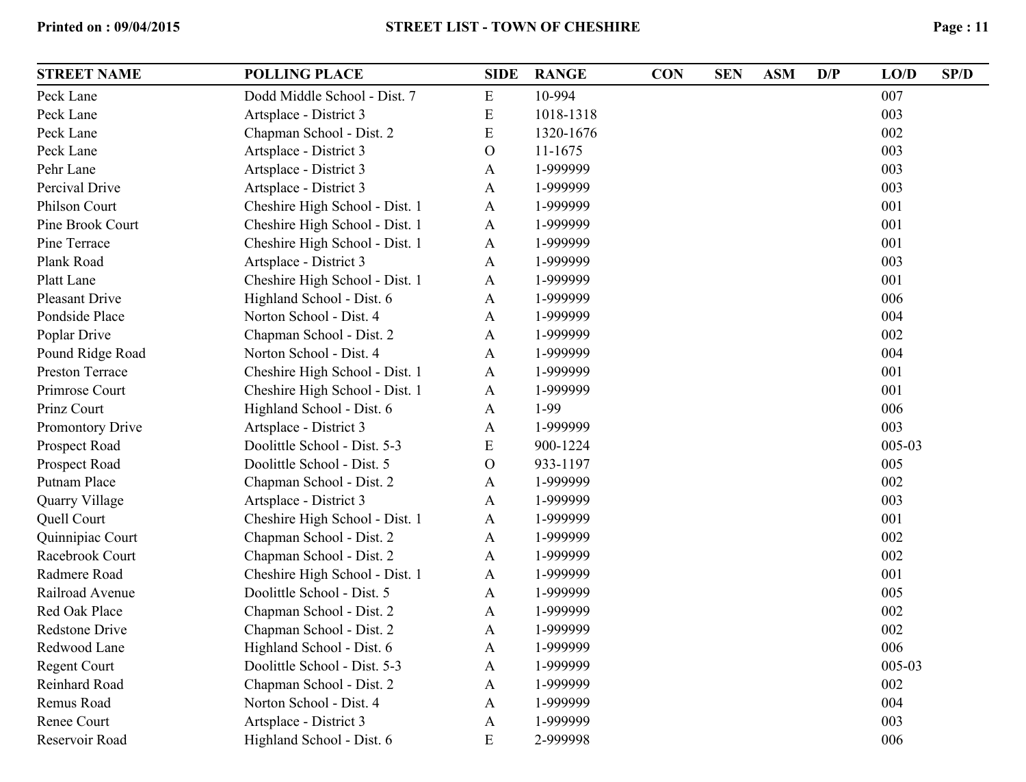| <b>STREET NAME</b>     | <b>POLLING PLACE</b>           | <b>SIDE</b>  | <b>RANGE</b> | <b>CON</b> | <b>SEN</b> | <b>ASM</b> | D/P | LO/D   | SP/D |
|------------------------|--------------------------------|--------------|--------------|------------|------------|------------|-----|--------|------|
| Peck Lane              | Dodd Middle School - Dist. 7   | E            | 10-994       |            |            |            |     | 007    |      |
| Peck Lane              | Artsplace - District 3         | E            | 1018-1318    |            |            |            |     | 003    |      |
| Peck Lane              | Chapman School - Dist. 2       | E            | 1320-1676    |            |            |            |     | 002    |      |
| Peck Lane              | Artsplace - District 3         | $\Omega$     | 11-1675      |            |            |            |     | 003    |      |
| Pehr Lane              | Artsplace - District 3         | A            | 1-999999     |            |            |            |     | 003    |      |
| Percival Drive         | Artsplace - District 3         | A            | 1-999999     |            |            |            |     | 003    |      |
| Philson Court          | Cheshire High School - Dist. 1 | $\mathbf{A}$ | 1-999999     |            |            |            |     | 001    |      |
| Pine Brook Court       | Cheshire High School - Dist. 1 | $\mathbf{A}$ | 1-999999     |            |            |            |     | 001    |      |
| Pine Terrace           | Cheshire High School - Dist. 1 | $\mathbf{A}$ | 1-999999     |            |            |            |     | 001    |      |
| Plank Road             | Artsplace - District 3         | A            | 1-999999     |            |            |            |     | 003    |      |
| Platt Lane             | Cheshire High School - Dist. 1 | A            | 1-999999     |            |            |            |     | 001    |      |
| <b>Pleasant Drive</b>  | Highland School - Dist. 6      | A            | 1-999999     |            |            |            |     | 006    |      |
| Pondside Place         | Norton School - Dist. 4        | $\mathbf{A}$ | 1-999999     |            |            |            |     | 004    |      |
| Poplar Drive           | Chapman School - Dist. 2       | A            | 1-999999     |            |            |            |     | 002    |      |
| Pound Ridge Road       | Norton School - Dist. 4        | A            | 1-999999     |            |            |            |     | 004    |      |
| <b>Preston Terrace</b> | Cheshire High School - Dist. 1 | $\mathbf{A}$ | 1-999999     |            |            |            |     | 001    |      |
| Primrose Court         | Cheshire High School - Dist. 1 | $\mathbf{A}$ | 1-999999     |            |            |            |     | 001    |      |
| Prinz Court            | Highland School - Dist. 6      | A            | 1-99         |            |            |            |     | 006    |      |
| Promontory Drive       | Artsplace - District 3         | A            | 1-999999     |            |            |            |     | 003    |      |
| Prospect Road          | Doolittle School - Dist. 5-3   | E            | 900-1224     |            |            |            |     | 005-03 |      |
| Prospect Road          | Doolittle School - Dist. 5     | $\Omega$     | 933-1197     |            |            |            |     | 005    |      |
| Putnam Place           | Chapman School - Dist. 2       | A            | 1-999999     |            |            |            |     | 002    |      |
| Quarry Village         | Artsplace - District 3         | $\mathbf{A}$ | 1-999999     |            |            |            |     | 003    |      |
| Quell Court            | Cheshire High School - Dist. 1 | $\mathbf{A}$ | 1-999999     |            |            |            |     | 001    |      |
| Quinnipiac Court       | Chapman School - Dist. 2       | $\mathbf{A}$ | 1-999999     |            |            |            |     | 002    |      |
| Racebrook Court        | Chapman School - Dist. 2       | A            | 1-999999     |            |            |            |     | 002    |      |
| Radmere Road           | Cheshire High School - Dist. 1 | $\mathbf{A}$ | 1-999999     |            |            |            |     | 001    |      |
| Railroad Avenue        | Doolittle School - Dist. 5     | A            | 1-999999     |            |            |            |     | 005    |      |
| Red Oak Place          | Chapman School - Dist. 2       | $\mathbf{A}$ | 1-999999     |            |            |            |     | 002    |      |
| Redstone Drive         | Chapman School - Dist. 2       | $\mathbf{A}$ | 1-999999     |            |            |            |     | 002    |      |
| Redwood Lane           | Highland School - Dist. 6      | $\mathbf{A}$ | 1-999999     |            |            |            |     | 006    |      |
| <b>Regent Court</b>    | Doolittle School - Dist. 5-3   | A            | 1-999999     |            |            |            |     | 005-03 |      |
| Reinhard Road          | Chapman School - Dist. 2       | $\mathbf{A}$ | 1-999999     |            |            |            |     | 002    |      |
| Remus Road             | Norton School - Dist. 4        | A            | 1-999999     |            |            |            |     | 004    |      |
| Renee Court            | Artsplace - District 3         | $\mathbf{A}$ | 1-999999     |            |            |            |     | 003    |      |
| Reservoir Road         | Highland School - Dist. 6      | E            | 2-999998     |            |            |            |     | 006    |      |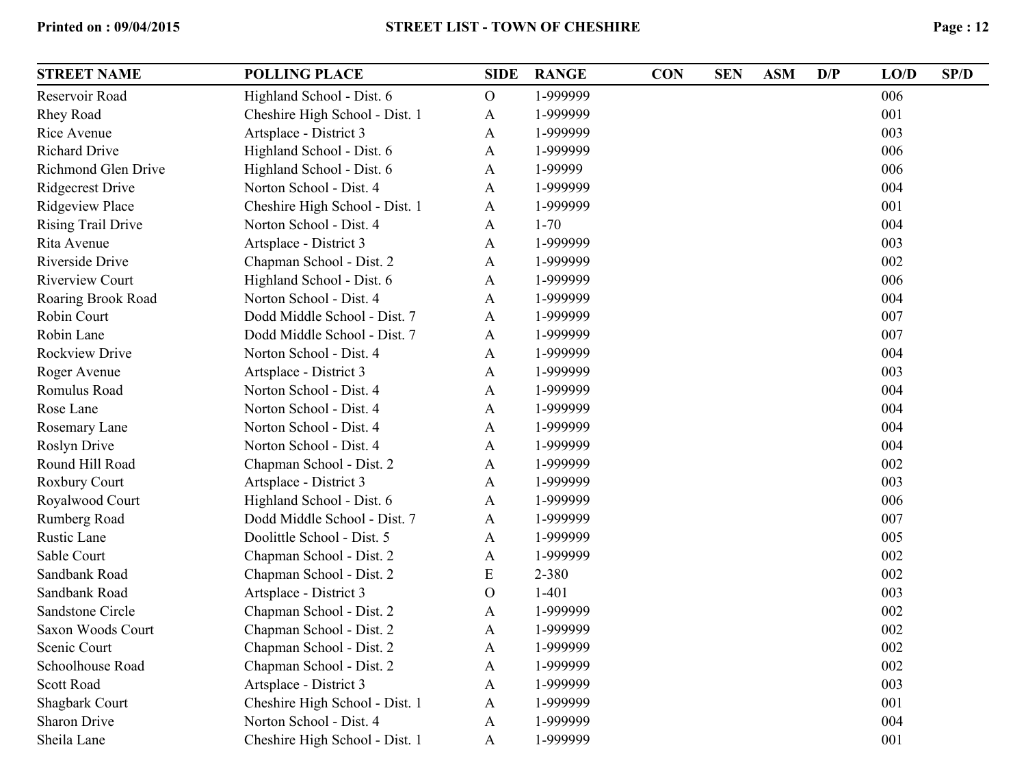| <b>STREET NAME</b>        | <b>POLLING PLACE</b>           | <b>SIDE</b>   | <b>RANGE</b> | <b>CON</b> | <b>SEN</b> | <b>ASM</b> | D/P | LO/D | SP/D |
|---------------------------|--------------------------------|---------------|--------------|------------|------------|------------|-----|------|------|
| Reservoir Road            | Highland School - Dist. 6      | $\mathbf{O}$  | 1-999999     |            |            |            |     | 006  |      |
| Rhey Road                 | Cheshire High School - Dist. 1 | A             | 1-999999     |            |            |            |     | 001  |      |
| Rice Avenue               | Artsplace - District 3         | A             | 1-999999     |            |            |            |     | 003  |      |
| <b>Richard Drive</b>      | Highland School - Dist. 6      | A             | 1-999999     |            |            |            |     | 006  |      |
| Richmond Glen Drive       | Highland School - Dist. 6      | A             | 1-99999      |            |            |            |     | 006  |      |
| <b>Ridgecrest Drive</b>   | Norton School - Dist. 4        | A             | 1-999999     |            |            |            |     | 004  |      |
| <b>Ridgeview Place</b>    | Cheshire High School - Dist. 1 | A             | 1-999999     |            |            |            |     | 001  |      |
| <b>Rising Trail Drive</b> | Norton School - Dist. 4        | A             | $1 - 70$     |            |            |            |     | 004  |      |
| Rita Avenue               | Artsplace - District 3         | A             | 1-999999     |            |            |            |     | 003  |      |
| Riverside Drive           | Chapman School - Dist. 2       | A             | 1-999999     |            |            |            |     | 002  |      |
| <b>Riverview Court</b>    | Highland School - Dist. 6      | A             | 1-999999     |            |            |            |     | 006  |      |
| Roaring Brook Road        | Norton School - Dist. 4        | A             | 1-999999     |            |            |            |     | 004  |      |
| Robin Court               | Dodd Middle School - Dist. 7   | A             | 1-999999     |            |            |            |     | 007  |      |
| Robin Lane                | Dodd Middle School - Dist. 7   | A             | 1-999999     |            |            |            |     | 007  |      |
| <b>Rockview Drive</b>     | Norton School - Dist. 4        | A             | 1-999999     |            |            |            |     | 004  |      |
| Roger Avenue              | Artsplace - District 3         | A             | 1-999999     |            |            |            |     | 003  |      |
| Romulus Road              | Norton School - Dist. 4        | A             | 1-999999     |            |            |            |     | 004  |      |
| Rose Lane                 | Norton School - Dist. 4        | A             | 1-999999     |            |            |            |     | 004  |      |
| Rosemary Lane             | Norton School - Dist. 4        | A             | 1-999999     |            |            |            |     | 004  |      |
| Roslyn Drive              | Norton School - Dist. 4        | A             | 1-999999     |            |            |            |     | 004  |      |
| Round Hill Road           | Chapman School - Dist. 2       | A             | 1-999999     |            |            |            |     | 002  |      |
| Roxbury Court             | Artsplace - District 3         | A             | 1-999999     |            |            |            |     | 003  |      |
| Royalwood Court           | Highland School - Dist. 6      | A             | 1-999999     |            |            |            |     | 006  |      |
| Rumberg Road              | Dodd Middle School - Dist. 7   | A             | 1-999999     |            |            |            |     | 007  |      |
| Rustic Lane               | Doolittle School - Dist. 5     | A             | 1-999999     |            |            |            |     | 005  |      |
| Sable Court               | Chapman School - Dist. 2       | $\mathbf{A}$  | 1-999999     |            |            |            |     | 002  |      |
| Sandbank Road             | Chapman School - Dist. 2       | E             | 2-380        |            |            |            |     | 002  |      |
| Sandbank Road             | Artsplace - District 3         | $\mathcal{O}$ | $1-401$      |            |            |            |     | 003  |      |
| Sandstone Circle          | Chapman School - Dist. 2       | A             | 1-999999     |            |            |            |     | 002  |      |
| Saxon Woods Court         | Chapman School - Dist. 2       | A             | 1-999999     |            |            |            |     | 002  |      |
| Scenic Court              | Chapman School - Dist. 2       | A             | 1-999999     |            |            |            |     | 002  |      |
| Schoolhouse Road          | Chapman School - Dist. 2       | A             | 1-999999     |            |            |            |     | 002  |      |
| <b>Scott Road</b>         | Artsplace - District 3         | A             | 1-999999     |            |            |            |     | 003  |      |
| <b>Shagbark Court</b>     | Cheshire High School - Dist. 1 | A             | 1-999999     |            |            |            |     | 001  |      |
| Sharon Drive              | Norton School - Dist. 4        | $\mathbf{A}$  | 1-999999     |            |            |            |     | 004  |      |
| Sheila Lane               | Cheshire High School - Dist. 1 | $\mathbf{A}$  | 1-999999     |            |            |            |     | 001  |      |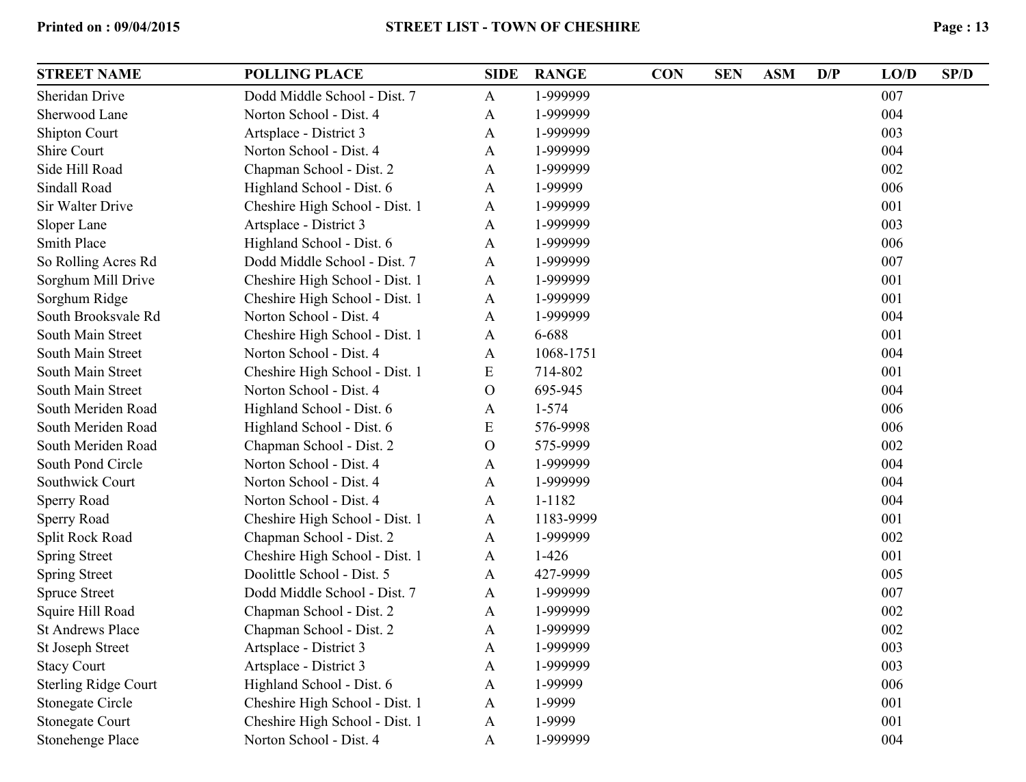| <b>STREET NAME</b>          | <b>POLLING PLACE</b>           | <b>SIDE</b>   | <b>RANGE</b> | <b>CON</b> | <b>SEN</b> | <b>ASM</b> | D/P | LO/D | SP/D |
|-----------------------------|--------------------------------|---------------|--------------|------------|------------|------------|-----|------|------|
| Sheridan Drive              | Dodd Middle School - Dist. 7   | $\mathbf{A}$  | 1-999999     |            |            |            |     | 007  |      |
| Sherwood Lane               | Norton School - Dist. 4        | A             | 1-999999     |            |            |            |     | 004  |      |
| <b>Shipton Court</b>        | Artsplace - District 3         | A             | 1-999999     |            |            |            |     | 003  |      |
| Shire Court                 | Norton School - Dist. 4        | A             | 1-999999     |            |            |            |     | 004  |      |
| Side Hill Road              | Chapman School - Dist. 2       | A             | 1-999999     |            |            |            |     | 002  |      |
| Sindall Road                | Highland School - Dist. 6      | A             | 1-99999      |            |            |            |     | 006  |      |
| Sir Walter Drive            | Cheshire High School - Dist. 1 | A             | 1-999999     |            |            |            |     | 001  |      |
| Sloper Lane                 | Artsplace - District 3         | A             | 1-999999     |            |            |            |     | 003  |      |
| <b>Smith Place</b>          | Highland School - Dist. 6      | A             | 1-999999     |            |            |            |     | 006  |      |
| So Rolling Acres Rd         | Dodd Middle School - Dist. 7   | A             | 1-999999     |            |            |            |     | 007  |      |
| Sorghum Mill Drive          | Cheshire High School - Dist. 1 | A             | 1-999999     |            |            |            |     | 001  |      |
| Sorghum Ridge               | Cheshire High School - Dist. 1 | A             | 1-999999     |            |            |            |     | 001  |      |
| South Brooksvale Rd         | Norton School - Dist. 4        | A             | 1-999999     |            |            |            |     | 004  |      |
| South Main Street           | Cheshire High School - Dist. 1 | A             | 6-688        |            |            |            |     | 001  |      |
| South Main Street           | Norton School - Dist. 4        | A             | 1068-1751    |            |            |            |     | 004  |      |
| South Main Street           | Cheshire High School - Dist. 1 | E             | 714-802      |            |            |            |     | 001  |      |
| South Main Street           | Norton School - Dist. 4        | $\Omega$      | 695-945      |            |            |            |     | 004  |      |
| South Meriden Road          | Highland School - Dist. 6      | A             | $1 - 574$    |            |            |            |     | 006  |      |
| South Meriden Road          | Highland School - Dist. 6      | E             | 576-9998     |            |            |            |     | 006  |      |
| South Meriden Road          | Chapman School - Dist. 2       | $\mathcal{O}$ | 575-9999     |            |            |            |     | 002  |      |
| South Pond Circle           | Norton School - Dist. 4        | A             | 1-999999     |            |            |            |     | 004  |      |
| Southwick Court             | Norton School - Dist. 4        | A             | 1-999999     |            |            |            |     | 004  |      |
| Sperry Road                 | Norton School - Dist. 4        | $\mathbf{A}$  | 1-1182       |            |            |            |     | 004  |      |
| Sperry Road                 | Cheshire High School - Dist. 1 | A             | 1183-9999    |            |            |            |     | 001  |      |
| Split Rock Road             | Chapman School - Dist. 2       | A             | 1-999999     |            |            |            |     | 002  |      |
| <b>Spring Street</b>        | Cheshire High School - Dist. 1 | A             | $1-426$      |            |            |            |     | 001  |      |
| <b>Spring Street</b>        | Doolittle School - Dist. 5     | A             | 427-9999     |            |            |            |     | 005  |      |
| <b>Spruce Street</b>        | Dodd Middle School - Dist. 7   | $\mathbf{A}$  | 1-999999     |            |            |            |     | 007  |      |
| Squire Hill Road            | Chapman School - Dist. 2       | A             | 1-999999     |            |            |            |     | 002  |      |
| <b>St Andrews Place</b>     | Chapman School - Dist. 2       | A             | 1-999999     |            |            |            |     | 002  |      |
| St Joseph Street            | Artsplace - District 3         | A             | 1-999999     |            |            |            |     | 003  |      |
| <b>Stacy Court</b>          | Artsplace - District 3         | A             | 1-999999     |            |            |            |     | 003  |      |
| <b>Sterling Ridge Court</b> | Highland School - Dist. 6      | A             | 1-99999      |            |            |            |     | 006  |      |
| <b>Stonegate Circle</b>     | Cheshire High School - Dist. 1 | $\mathbf{A}$  | 1-9999       |            |            |            |     | 001  |      |
| <b>Stonegate Court</b>      | Cheshire High School - Dist. 1 | $\mathbf{A}$  | 1-9999       |            |            |            |     | 001  |      |
| Stonehenge Place            | Norton School - Dist. 4        | $\mathbf{A}$  | 1-999999     |            |            |            |     | 004  |      |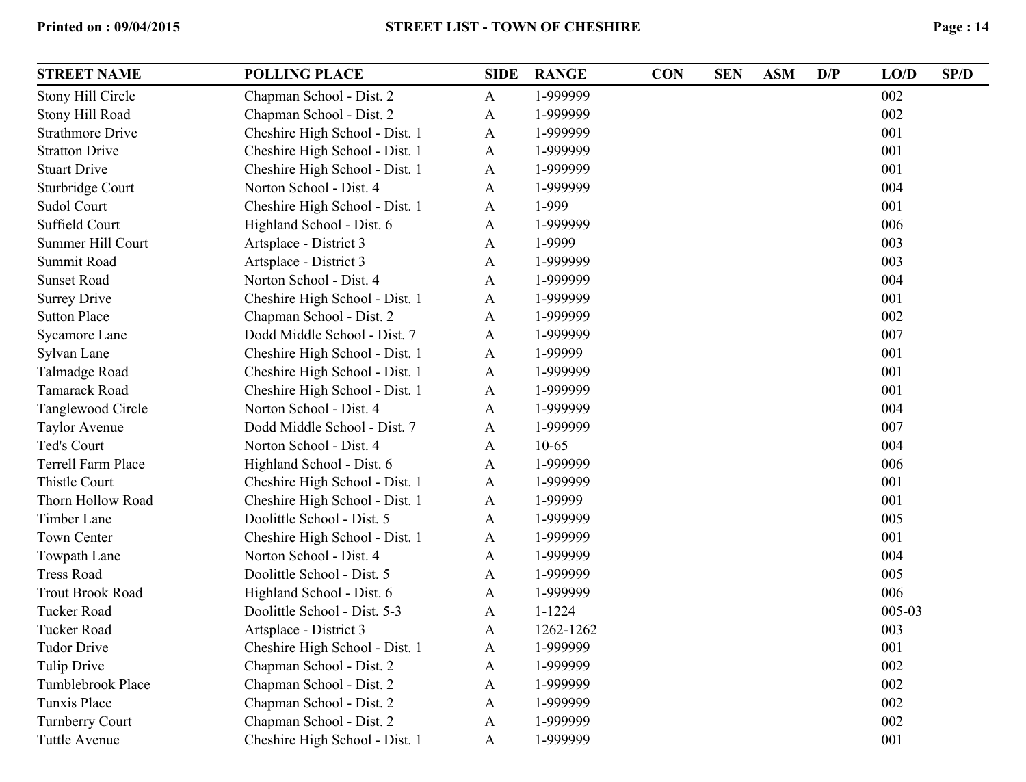| Stony Hill Circle<br>Chapman School - Dist. 2<br>1-999999<br>002<br>$\mathbf{A}$<br>1-999999<br>002<br>Stony Hill Road<br>Chapman School - Dist. 2<br>$\mathbf{A}$<br>001<br><b>Strathmore Drive</b><br>Cheshire High School - Dist. 1<br>1-999999<br>$\mathbf{A}$<br>001<br><b>Stratton Drive</b><br>Cheshire High School - Dist. 1<br>1-999999<br>$\mathbf{A}$<br>001<br><b>Stuart Drive</b><br>Cheshire High School - Dist. 1<br>1-999999<br>A<br>004<br>1-999999<br>Sturbridge Court<br>Norton School - Dist. 4<br>A<br>1-999<br>001<br>Sudol Court<br>Cheshire High School - Dist. 1<br>$\mathbf{A}$<br>006<br>Suffield Court<br>1-999999<br>Highland School - Dist. 6<br>$\mathbf{A}$<br>003<br>Summer Hill Court<br>1-9999<br>Artsplace - District 3<br>A<br>003<br>Summit Road<br>Artsplace - District 3<br>1-999999<br>A<br><b>Sunset Road</b><br>1-999999<br>004<br>Norton School - Dist. 4<br>A<br>001<br><b>Surrey Drive</b><br>Cheshire High School - Dist. 1<br>1-999999<br>A<br>002<br><b>Sutton Place</b><br>Chapman School - Dist. 2<br>1-999999<br>$\mathbf{A}$<br>007<br>Dodd Middle School - Dist. 7<br>1-999999<br>Sycamore Lane<br>A<br>001<br>1-99999<br>Sylvan Lane<br>Cheshire High School - Dist. 1<br>A<br>001<br>Talmadge Road<br>Cheshire High School - Dist. 1<br>1-999999<br>$\mathbf{A}$<br>001<br>1-999999<br>Tamarack Road<br>Cheshire High School - Dist. 1<br>$\mathbf{A}$<br>004<br>Tanglewood Circle<br>1-999999<br>Norton School - Dist. 4<br>A<br>Dodd Middle School - Dist. 7<br>007<br>1-999999<br><b>Taylor Avenue</b><br>A<br>004<br>Ted's Court<br>Norton School - Dist. 4<br>$10-65$<br>A<br>006<br>Terrell Farm Place<br>1-999999<br>Highland School - Dist. 6<br>A<br>Thistle Court<br>001<br>Cheshire High School - Dist. 1<br>1-999999<br>$\mathbf{A}$<br>001<br>Thorn Hollow Road<br>1-99999<br>Cheshire High School - Dist. 1<br>$\mathbf{A}$<br>005<br>Doolittle School - Dist. 5<br>1-999999<br>Timber Lane<br>A<br><b>Town Center</b><br>001<br>Cheshire High School - Dist. 1<br>1-999999<br>$\mathbf{A}$<br>004<br>Towpath Lane<br>Norton School - Dist. 4<br>1-999999<br>A<br>005<br><b>Tress Road</b><br>Doolittle School - Dist. 5<br>1-999999<br>A<br>006<br><b>Trout Brook Road</b><br>Highland School - Dist. 6<br>1-999999<br>$\mathbf{A}$<br>005-03<br><b>Tucker Road</b><br>Doolittle School - Dist. 5-3<br>$1 - 1224$<br>A<br>003<br><b>Tucker Road</b><br>Artsplace - District 3<br>1262-1262<br>A<br>001<br><b>Tudor Drive</b><br>Cheshire High School - Dist. 1<br>1-999999<br>$\mathbf{A}$<br>002<br><b>Tulip Drive</b><br>Chapman School - Dist. 2<br>1-999999<br>$\mathbf{A}$<br>002<br>Tumblebrook Place<br>Chapman School - Dist. 2<br>1-999999<br>$\mathbf{A}$<br>002<br>Tunxis Place<br>Chapman School - Dist. 2<br>1-999999<br>A<br>002<br><b>Turnberry Court</b><br>Chapman School - Dist. 2<br>1-999999<br>A<br>Cheshire High School - Dist. 1<br>1-999999<br>001<br><b>Tuttle Avenue</b><br>$\mathbf{A}$ | <b>STREET NAME</b> | <b>POLLING PLACE</b> | <b>SIDE</b> | <b>RANGE</b> | <b>CON</b> | <b>SEN</b> | <b>ASM</b> | D/P | LO/D | SP/D |
|-------------------------------------------------------------------------------------------------------------------------------------------------------------------------------------------------------------------------------------------------------------------------------------------------------------------------------------------------------------------------------------------------------------------------------------------------------------------------------------------------------------------------------------------------------------------------------------------------------------------------------------------------------------------------------------------------------------------------------------------------------------------------------------------------------------------------------------------------------------------------------------------------------------------------------------------------------------------------------------------------------------------------------------------------------------------------------------------------------------------------------------------------------------------------------------------------------------------------------------------------------------------------------------------------------------------------------------------------------------------------------------------------------------------------------------------------------------------------------------------------------------------------------------------------------------------------------------------------------------------------------------------------------------------------------------------------------------------------------------------------------------------------------------------------------------------------------------------------------------------------------------------------------------------------------------------------------------------------------------------------------------------------------------------------------------------------------------------------------------------------------------------------------------------------------------------------------------------------------------------------------------------------------------------------------------------------------------------------------------------------------------------------------------------------------------------------------------------------------------------------------------------------------------------------------------------------------------------------------------------------------------------------------------------------------------------------------------------------------------------------------------------------------------------------------------------------------------------------------------------------------------------------------------------------------------------------------------------------------------------|--------------------|----------------------|-------------|--------------|------------|------------|------------|-----|------|------|
|                                                                                                                                                                                                                                                                                                                                                                                                                                                                                                                                                                                                                                                                                                                                                                                                                                                                                                                                                                                                                                                                                                                                                                                                                                                                                                                                                                                                                                                                                                                                                                                                                                                                                                                                                                                                                                                                                                                                                                                                                                                                                                                                                                                                                                                                                                                                                                                                                                                                                                                                                                                                                                                                                                                                                                                                                                                                                                                                                                                           |                    |                      |             |              |            |            |            |     |      |      |
|                                                                                                                                                                                                                                                                                                                                                                                                                                                                                                                                                                                                                                                                                                                                                                                                                                                                                                                                                                                                                                                                                                                                                                                                                                                                                                                                                                                                                                                                                                                                                                                                                                                                                                                                                                                                                                                                                                                                                                                                                                                                                                                                                                                                                                                                                                                                                                                                                                                                                                                                                                                                                                                                                                                                                                                                                                                                                                                                                                                           |                    |                      |             |              |            |            |            |     |      |      |
|                                                                                                                                                                                                                                                                                                                                                                                                                                                                                                                                                                                                                                                                                                                                                                                                                                                                                                                                                                                                                                                                                                                                                                                                                                                                                                                                                                                                                                                                                                                                                                                                                                                                                                                                                                                                                                                                                                                                                                                                                                                                                                                                                                                                                                                                                                                                                                                                                                                                                                                                                                                                                                                                                                                                                                                                                                                                                                                                                                                           |                    |                      |             |              |            |            |            |     |      |      |
|                                                                                                                                                                                                                                                                                                                                                                                                                                                                                                                                                                                                                                                                                                                                                                                                                                                                                                                                                                                                                                                                                                                                                                                                                                                                                                                                                                                                                                                                                                                                                                                                                                                                                                                                                                                                                                                                                                                                                                                                                                                                                                                                                                                                                                                                                                                                                                                                                                                                                                                                                                                                                                                                                                                                                                                                                                                                                                                                                                                           |                    |                      |             |              |            |            |            |     |      |      |
|                                                                                                                                                                                                                                                                                                                                                                                                                                                                                                                                                                                                                                                                                                                                                                                                                                                                                                                                                                                                                                                                                                                                                                                                                                                                                                                                                                                                                                                                                                                                                                                                                                                                                                                                                                                                                                                                                                                                                                                                                                                                                                                                                                                                                                                                                                                                                                                                                                                                                                                                                                                                                                                                                                                                                                                                                                                                                                                                                                                           |                    |                      |             |              |            |            |            |     |      |      |
|                                                                                                                                                                                                                                                                                                                                                                                                                                                                                                                                                                                                                                                                                                                                                                                                                                                                                                                                                                                                                                                                                                                                                                                                                                                                                                                                                                                                                                                                                                                                                                                                                                                                                                                                                                                                                                                                                                                                                                                                                                                                                                                                                                                                                                                                                                                                                                                                                                                                                                                                                                                                                                                                                                                                                                                                                                                                                                                                                                                           |                    |                      |             |              |            |            |            |     |      |      |
|                                                                                                                                                                                                                                                                                                                                                                                                                                                                                                                                                                                                                                                                                                                                                                                                                                                                                                                                                                                                                                                                                                                                                                                                                                                                                                                                                                                                                                                                                                                                                                                                                                                                                                                                                                                                                                                                                                                                                                                                                                                                                                                                                                                                                                                                                                                                                                                                                                                                                                                                                                                                                                                                                                                                                                                                                                                                                                                                                                                           |                    |                      |             |              |            |            |            |     |      |      |
|                                                                                                                                                                                                                                                                                                                                                                                                                                                                                                                                                                                                                                                                                                                                                                                                                                                                                                                                                                                                                                                                                                                                                                                                                                                                                                                                                                                                                                                                                                                                                                                                                                                                                                                                                                                                                                                                                                                                                                                                                                                                                                                                                                                                                                                                                                                                                                                                                                                                                                                                                                                                                                                                                                                                                                                                                                                                                                                                                                                           |                    |                      |             |              |            |            |            |     |      |      |
|                                                                                                                                                                                                                                                                                                                                                                                                                                                                                                                                                                                                                                                                                                                                                                                                                                                                                                                                                                                                                                                                                                                                                                                                                                                                                                                                                                                                                                                                                                                                                                                                                                                                                                                                                                                                                                                                                                                                                                                                                                                                                                                                                                                                                                                                                                                                                                                                                                                                                                                                                                                                                                                                                                                                                                                                                                                                                                                                                                                           |                    |                      |             |              |            |            |            |     |      |      |
|                                                                                                                                                                                                                                                                                                                                                                                                                                                                                                                                                                                                                                                                                                                                                                                                                                                                                                                                                                                                                                                                                                                                                                                                                                                                                                                                                                                                                                                                                                                                                                                                                                                                                                                                                                                                                                                                                                                                                                                                                                                                                                                                                                                                                                                                                                                                                                                                                                                                                                                                                                                                                                                                                                                                                                                                                                                                                                                                                                                           |                    |                      |             |              |            |            |            |     |      |      |
|                                                                                                                                                                                                                                                                                                                                                                                                                                                                                                                                                                                                                                                                                                                                                                                                                                                                                                                                                                                                                                                                                                                                                                                                                                                                                                                                                                                                                                                                                                                                                                                                                                                                                                                                                                                                                                                                                                                                                                                                                                                                                                                                                                                                                                                                                                                                                                                                                                                                                                                                                                                                                                                                                                                                                                                                                                                                                                                                                                                           |                    |                      |             |              |            |            |            |     |      |      |
|                                                                                                                                                                                                                                                                                                                                                                                                                                                                                                                                                                                                                                                                                                                                                                                                                                                                                                                                                                                                                                                                                                                                                                                                                                                                                                                                                                                                                                                                                                                                                                                                                                                                                                                                                                                                                                                                                                                                                                                                                                                                                                                                                                                                                                                                                                                                                                                                                                                                                                                                                                                                                                                                                                                                                                                                                                                                                                                                                                                           |                    |                      |             |              |            |            |            |     |      |      |
|                                                                                                                                                                                                                                                                                                                                                                                                                                                                                                                                                                                                                                                                                                                                                                                                                                                                                                                                                                                                                                                                                                                                                                                                                                                                                                                                                                                                                                                                                                                                                                                                                                                                                                                                                                                                                                                                                                                                                                                                                                                                                                                                                                                                                                                                                                                                                                                                                                                                                                                                                                                                                                                                                                                                                                                                                                                                                                                                                                                           |                    |                      |             |              |            |            |            |     |      |      |
|                                                                                                                                                                                                                                                                                                                                                                                                                                                                                                                                                                                                                                                                                                                                                                                                                                                                                                                                                                                                                                                                                                                                                                                                                                                                                                                                                                                                                                                                                                                                                                                                                                                                                                                                                                                                                                                                                                                                                                                                                                                                                                                                                                                                                                                                                                                                                                                                                                                                                                                                                                                                                                                                                                                                                                                                                                                                                                                                                                                           |                    |                      |             |              |            |            |            |     |      |      |
|                                                                                                                                                                                                                                                                                                                                                                                                                                                                                                                                                                                                                                                                                                                                                                                                                                                                                                                                                                                                                                                                                                                                                                                                                                                                                                                                                                                                                                                                                                                                                                                                                                                                                                                                                                                                                                                                                                                                                                                                                                                                                                                                                                                                                                                                                                                                                                                                                                                                                                                                                                                                                                                                                                                                                                                                                                                                                                                                                                                           |                    |                      |             |              |            |            |            |     |      |      |
|                                                                                                                                                                                                                                                                                                                                                                                                                                                                                                                                                                                                                                                                                                                                                                                                                                                                                                                                                                                                                                                                                                                                                                                                                                                                                                                                                                                                                                                                                                                                                                                                                                                                                                                                                                                                                                                                                                                                                                                                                                                                                                                                                                                                                                                                                                                                                                                                                                                                                                                                                                                                                                                                                                                                                                                                                                                                                                                                                                                           |                    |                      |             |              |            |            |            |     |      |      |
|                                                                                                                                                                                                                                                                                                                                                                                                                                                                                                                                                                                                                                                                                                                                                                                                                                                                                                                                                                                                                                                                                                                                                                                                                                                                                                                                                                                                                                                                                                                                                                                                                                                                                                                                                                                                                                                                                                                                                                                                                                                                                                                                                                                                                                                                                                                                                                                                                                                                                                                                                                                                                                                                                                                                                                                                                                                                                                                                                                                           |                    |                      |             |              |            |            |            |     |      |      |
|                                                                                                                                                                                                                                                                                                                                                                                                                                                                                                                                                                                                                                                                                                                                                                                                                                                                                                                                                                                                                                                                                                                                                                                                                                                                                                                                                                                                                                                                                                                                                                                                                                                                                                                                                                                                                                                                                                                                                                                                                                                                                                                                                                                                                                                                                                                                                                                                                                                                                                                                                                                                                                                                                                                                                                                                                                                                                                                                                                                           |                    |                      |             |              |            |            |            |     |      |      |
|                                                                                                                                                                                                                                                                                                                                                                                                                                                                                                                                                                                                                                                                                                                                                                                                                                                                                                                                                                                                                                                                                                                                                                                                                                                                                                                                                                                                                                                                                                                                                                                                                                                                                                                                                                                                                                                                                                                                                                                                                                                                                                                                                                                                                                                                                                                                                                                                                                                                                                                                                                                                                                                                                                                                                                                                                                                                                                                                                                                           |                    |                      |             |              |            |            |            |     |      |      |
|                                                                                                                                                                                                                                                                                                                                                                                                                                                                                                                                                                                                                                                                                                                                                                                                                                                                                                                                                                                                                                                                                                                                                                                                                                                                                                                                                                                                                                                                                                                                                                                                                                                                                                                                                                                                                                                                                                                                                                                                                                                                                                                                                                                                                                                                                                                                                                                                                                                                                                                                                                                                                                                                                                                                                                                                                                                                                                                                                                                           |                    |                      |             |              |            |            |            |     |      |      |
|                                                                                                                                                                                                                                                                                                                                                                                                                                                                                                                                                                                                                                                                                                                                                                                                                                                                                                                                                                                                                                                                                                                                                                                                                                                                                                                                                                                                                                                                                                                                                                                                                                                                                                                                                                                                                                                                                                                                                                                                                                                                                                                                                                                                                                                                                                                                                                                                                                                                                                                                                                                                                                                                                                                                                                                                                                                                                                                                                                                           |                    |                      |             |              |            |            |            |     |      |      |
|                                                                                                                                                                                                                                                                                                                                                                                                                                                                                                                                                                                                                                                                                                                                                                                                                                                                                                                                                                                                                                                                                                                                                                                                                                                                                                                                                                                                                                                                                                                                                                                                                                                                                                                                                                                                                                                                                                                                                                                                                                                                                                                                                                                                                                                                                                                                                                                                                                                                                                                                                                                                                                                                                                                                                                                                                                                                                                                                                                                           |                    |                      |             |              |            |            |            |     |      |      |
|                                                                                                                                                                                                                                                                                                                                                                                                                                                                                                                                                                                                                                                                                                                                                                                                                                                                                                                                                                                                                                                                                                                                                                                                                                                                                                                                                                                                                                                                                                                                                                                                                                                                                                                                                                                                                                                                                                                                                                                                                                                                                                                                                                                                                                                                                                                                                                                                                                                                                                                                                                                                                                                                                                                                                                                                                                                                                                                                                                                           |                    |                      |             |              |            |            |            |     |      |      |
|                                                                                                                                                                                                                                                                                                                                                                                                                                                                                                                                                                                                                                                                                                                                                                                                                                                                                                                                                                                                                                                                                                                                                                                                                                                                                                                                                                                                                                                                                                                                                                                                                                                                                                                                                                                                                                                                                                                                                                                                                                                                                                                                                                                                                                                                                                                                                                                                                                                                                                                                                                                                                                                                                                                                                                                                                                                                                                                                                                                           |                    |                      |             |              |            |            |            |     |      |      |
|                                                                                                                                                                                                                                                                                                                                                                                                                                                                                                                                                                                                                                                                                                                                                                                                                                                                                                                                                                                                                                                                                                                                                                                                                                                                                                                                                                                                                                                                                                                                                                                                                                                                                                                                                                                                                                                                                                                                                                                                                                                                                                                                                                                                                                                                                                                                                                                                                                                                                                                                                                                                                                                                                                                                                                                                                                                                                                                                                                                           |                    |                      |             |              |            |            |            |     |      |      |
|                                                                                                                                                                                                                                                                                                                                                                                                                                                                                                                                                                                                                                                                                                                                                                                                                                                                                                                                                                                                                                                                                                                                                                                                                                                                                                                                                                                                                                                                                                                                                                                                                                                                                                                                                                                                                                                                                                                                                                                                                                                                                                                                                                                                                                                                                                                                                                                                                                                                                                                                                                                                                                                                                                                                                                                                                                                                                                                                                                                           |                    |                      |             |              |            |            |            |     |      |      |
|                                                                                                                                                                                                                                                                                                                                                                                                                                                                                                                                                                                                                                                                                                                                                                                                                                                                                                                                                                                                                                                                                                                                                                                                                                                                                                                                                                                                                                                                                                                                                                                                                                                                                                                                                                                                                                                                                                                                                                                                                                                                                                                                                                                                                                                                                                                                                                                                                                                                                                                                                                                                                                                                                                                                                                                                                                                                                                                                                                                           |                    |                      |             |              |            |            |            |     |      |      |
|                                                                                                                                                                                                                                                                                                                                                                                                                                                                                                                                                                                                                                                                                                                                                                                                                                                                                                                                                                                                                                                                                                                                                                                                                                                                                                                                                                                                                                                                                                                                                                                                                                                                                                                                                                                                                                                                                                                                                                                                                                                                                                                                                                                                                                                                                                                                                                                                                                                                                                                                                                                                                                                                                                                                                                                                                                                                                                                                                                                           |                    |                      |             |              |            |            |            |     |      |      |
|                                                                                                                                                                                                                                                                                                                                                                                                                                                                                                                                                                                                                                                                                                                                                                                                                                                                                                                                                                                                                                                                                                                                                                                                                                                                                                                                                                                                                                                                                                                                                                                                                                                                                                                                                                                                                                                                                                                                                                                                                                                                                                                                                                                                                                                                                                                                                                                                                                                                                                                                                                                                                                                                                                                                                                                                                                                                                                                                                                                           |                    |                      |             |              |            |            |            |     |      |      |
|                                                                                                                                                                                                                                                                                                                                                                                                                                                                                                                                                                                                                                                                                                                                                                                                                                                                                                                                                                                                                                                                                                                                                                                                                                                                                                                                                                                                                                                                                                                                                                                                                                                                                                                                                                                                                                                                                                                                                                                                                                                                                                                                                                                                                                                                                                                                                                                                                                                                                                                                                                                                                                                                                                                                                                                                                                                                                                                                                                                           |                    |                      |             |              |            |            |            |     |      |      |
|                                                                                                                                                                                                                                                                                                                                                                                                                                                                                                                                                                                                                                                                                                                                                                                                                                                                                                                                                                                                                                                                                                                                                                                                                                                                                                                                                                                                                                                                                                                                                                                                                                                                                                                                                                                                                                                                                                                                                                                                                                                                                                                                                                                                                                                                                                                                                                                                                                                                                                                                                                                                                                                                                                                                                                                                                                                                                                                                                                                           |                    |                      |             |              |            |            |            |     |      |      |
|                                                                                                                                                                                                                                                                                                                                                                                                                                                                                                                                                                                                                                                                                                                                                                                                                                                                                                                                                                                                                                                                                                                                                                                                                                                                                                                                                                                                                                                                                                                                                                                                                                                                                                                                                                                                                                                                                                                                                                                                                                                                                                                                                                                                                                                                                                                                                                                                                                                                                                                                                                                                                                                                                                                                                                                                                                                                                                                                                                                           |                    |                      |             |              |            |            |            |     |      |      |
|                                                                                                                                                                                                                                                                                                                                                                                                                                                                                                                                                                                                                                                                                                                                                                                                                                                                                                                                                                                                                                                                                                                                                                                                                                                                                                                                                                                                                                                                                                                                                                                                                                                                                                                                                                                                                                                                                                                                                                                                                                                                                                                                                                                                                                                                                                                                                                                                                                                                                                                                                                                                                                                                                                                                                                                                                                                                                                                                                                                           |                    |                      |             |              |            |            |            |     |      |      |
|                                                                                                                                                                                                                                                                                                                                                                                                                                                                                                                                                                                                                                                                                                                                                                                                                                                                                                                                                                                                                                                                                                                                                                                                                                                                                                                                                                                                                                                                                                                                                                                                                                                                                                                                                                                                                                                                                                                                                                                                                                                                                                                                                                                                                                                                                                                                                                                                                                                                                                                                                                                                                                                                                                                                                                                                                                                                                                                                                                                           |                    |                      |             |              |            |            |            |     |      |      |
|                                                                                                                                                                                                                                                                                                                                                                                                                                                                                                                                                                                                                                                                                                                                                                                                                                                                                                                                                                                                                                                                                                                                                                                                                                                                                                                                                                                                                                                                                                                                                                                                                                                                                                                                                                                                                                                                                                                                                                                                                                                                                                                                                                                                                                                                                                                                                                                                                                                                                                                                                                                                                                                                                                                                                                                                                                                                                                                                                                                           |                    |                      |             |              |            |            |            |     |      |      |
|                                                                                                                                                                                                                                                                                                                                                                                                                                                                                                                                                                                                                                                                                                                                                                                                                                                                                                                                                                                                                                                                                                                                                                                                                                                                                                                                                                                                                                                                                                                                                                                                                                                                                                                                                                                                                                                                                                                                                                                                                                                                                                                                                                                                                                                                                                                                                                                                                                                                                                                                                                                                                                                                                                                                                                                                                                                                                                                                                                                           |                    |                      |             |              |            |            |            |     |      |      |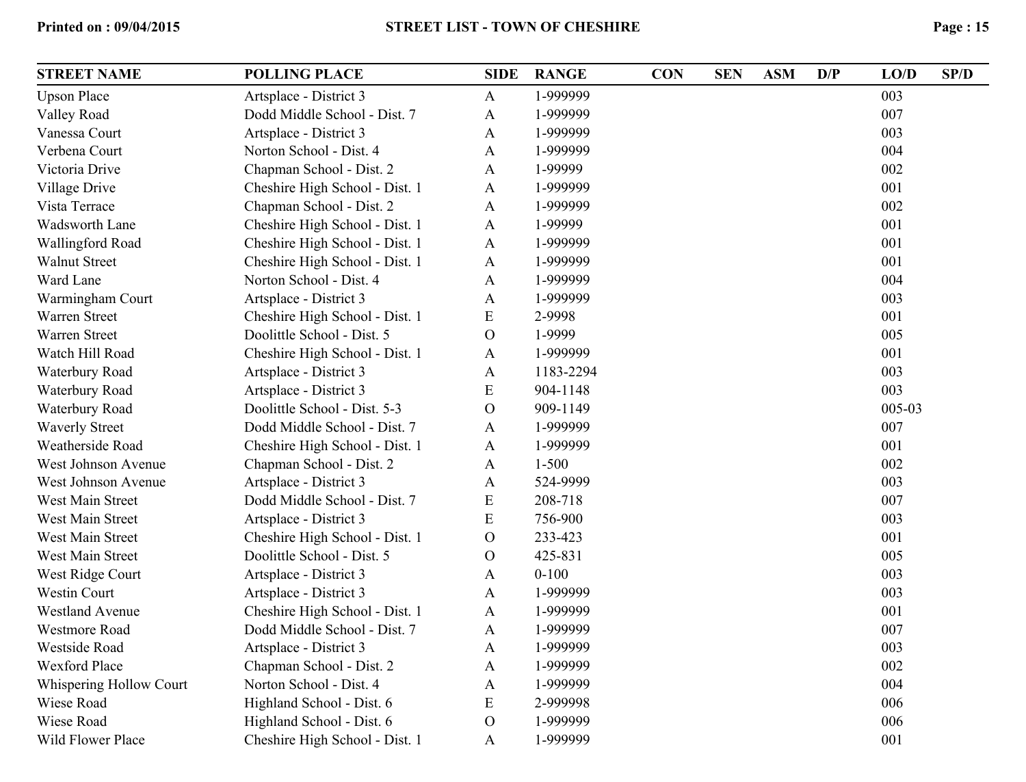| <b>STREET NAME</b>      | <b>POLLING PLACE</b>           | <b>SIDE</b>  | <b>RANGE</b> | <b>CON</b> | <b>SEN</b> | <b>ASM</b> | D/P | LO/D   | SP/D |
|-------------------------|--------------------------------|--------------|--------------|------------|------------|------------|-----|--------|------|
| <b>Upson Place</b>      | Artsplace - District 3         | A            | 1-999999     |            |            |            |     | 003    |      |
| Valley Road             | Dodd Middle School - Dist. 7   | A            | 1-999999     |            |            |            |     | 007    |      |
| Vanessa Court           | Artsplace - District 3         | A            | 1-999999     |            |            |            |     | 003    |      |
| Verbena Court           | Norton School - Dist. 4        | A            | 1-999999     |            |            |            |     | 004    |      |
| Victoria Drive          | Chapman School - Dist. 2       | A            | 1-99999      |            |            |            |     | 002    |      |
| Village Drive           | Cheshire High School - Dist. 1 | A            | 1-999999     |            |            |            |     | 001    |      |
| Vista Terrace           | Chapman School - Dist. 2       | A            | 1-999999     |            |            |            |     | 002    |      |
| Wadsworth Lane          | Cheshire High School - Dist. 1 | A            | 1-99999      |            |            |            |     | 001    |      |
| Wallingford Road        | Cheshire High School - Dist. 1 | A            | 1-999999     |            |            |            |     | 001    |      |
| <b>Walnut Street</b>    | Cheshire High School - Dist. 1 | A            | 1-999999     |            |            |            |     | 001    |      |
| Ward Lane               | Norton School - Dist. 4        | A            | 1-999999     |            |            |            |     | 004    |      |
| Warmingham Court        | Artsplace - District 3         | A            | 1-999999     |            |            |            |     | 003    |      |
| Warren Street           | Cheshire High School - Dist. 1 | E            | 2-9998       |            |            |            |     | 001    |      |
| <b>Warren Street</b>    | Doolittle School - Dist. 5     | $\mathbf{O}$ | 1-9999       |            |            |            |     | 005    |      |
| Watch Hill Road         | Cheshire High School - Dist. 1 | A            | 1-999999     |            |            |            |     | 001    |      |
| Waterbury Road          | Artsplace - District 3         | A            | 1183-2294    |            |            |            |     | 003    |      |
| Waterbury Road          | Artsplace - District 3         | E            | 904-1148     |            |            |            |     | 003    |      |
| Waterbury Road          | Doolittle School - Dist. 5-3   | $\mathbf{O}$ | 909-1149     |            |            |            |     | 005-03 |      |
| <b>Waverly Street</b>   | Dodd Middle School - Dist. 7   | A            | 1-999999     |            |            |            |     | 007    |      |
| Weatherside Road        | Cheshire High School - Dist. 1 | A            | 1-999999     |            |            |            |     | 001    |      |
| West Johnson Avenue     | Chapman School - Dist. 2       | A            | $1 - 500$    |            |            |            |     | 002    |      |
| West Johnson Avenue     | Artsplace - District 3         | A            | 524-9999     |            |            |            |     | 003    |      |
| West Main Street        | Dodd Middle School - Dist. 7   | E            | 208-718      |            |            |            |     | 007    |      |
| West Main Street        | Artsplace - District 3         | E            | 756-900      |            |            |            |     | 003    |      |
| West Main Street        | Cheshire High School - Dist. 1 | $\mathbf O$  | 233-423      |            |            |            |     | 001    |      |
| West Main Street        | Doolittle School - Dist. 5     | $\mathbf{O}$ | 425-831      |            |            |            |     | 005    |      |
| West Ridge Court        | Artsplace - District 3         | A            | $0 - 100$    |            |            |            |     | 003    |      |
| Westin Court            | Artsplace - District 3         | A            | 1-999999     |            |            |            |     | 003    |      |
| <b>Westland Avenue</b>  | Cheshire High School - Dist. 1 | A            | 1-999999     |            |            |            |     | 001    |      |
| Westmore Road           | Dodd Middle School - Dist. 7   | A            | 1-999999     |            |            |            |     | 007    |      |
| Westside Road           | Artsplace - District 3         | A            | 1-999999     |            |            |            |     | 003    |      |
| <b>Wexford Place</b>    | Chapman School - Dist. 2       | A            | 1-999999     |            |            |            |     | 002    |      |
| Whispering Hollow Court | Norton School - Dist. 4        | A            | 1-999999     |            |            |            |     | 004    |      |
| Wiese Road              | Highland School - Dist. 6      | E            | 2-999998     |            |            |            |     | 006    |      |
| Wiese Road              | Highland School - Dist. 6      | $\mathbf O$  | 1-999999     |            |            |            |     | 006    |      |
| Wild Flower Place       | Cheshire High School - Dist. 1 | A            | 1-999999     |            |            |            |     | 001    |      |